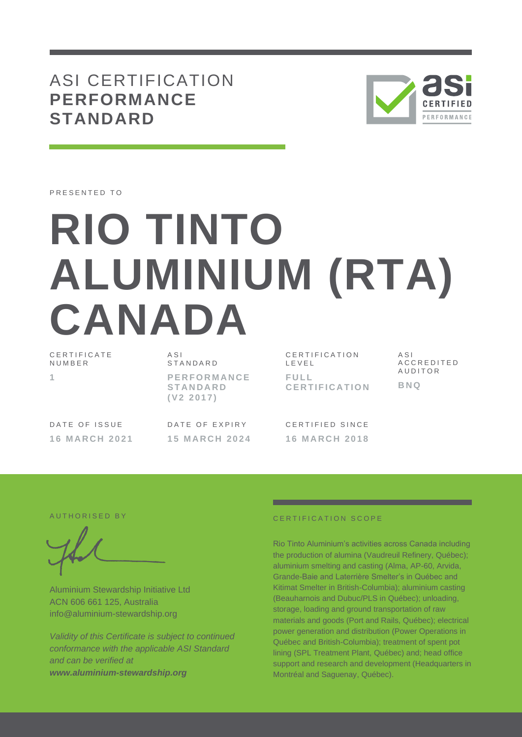# ASI CERTIFICATION **PERFORMANCE STANDARD**



PRESENTED TO

# **RIO TINTO ALUMINIUM (RTA) CANADA**

CERTIFICATE **NUMBER 1**

A S I S T A N D A R D **P E R F O R M A N C E S T A N D A R D ( V 2 2 0 1 7 )**

CERTIFICATION L E V E L **F U L L C E R T I F I C A T I O N** A S I A C C R E D I T E D **AUDITOR BNQ**

DATE OF ISSUE **1 6 M A R C H 2 0 2 1** DATE OF EXPIRY **1 5 M A R C H 2 0 2 4**

CERTIFIED SINCE **1 6 M A R C H 2 0 1 8**

Aluminium Stewardship Initiative Ltd ACN 606 661 125, Australia info@aluminium-stewardship.org

*Validity of this Certificate is subject to continued conformance with the applicable ASI Standard and can be verified at www.aluminium-stewardship.org*

## A UTHORISED BY **CERTIFICATION SCOPE**

Rio Tinto Aluminium's activities across Canada including the production of alumina (Vaudreuil Refinery, Québec); aluminium smelting and casting (Alma, AP-60, Arvida, Grande-Baie and Laterrière Smelter's in Québec and Kitimat Smelter in British-Columbia); aluminium casting (Beauharnois and Dubuc/PLS in Québec); unloading, storage, loading and ground transportation of raw materials and goods (Port and Rails, Québec); electrical power generation and distribution (Power Operations in Québec and British-Columbia); treatment of spent pot lining (SPL Treatment Plant, Québec) and; head office support and research and development (Headquarters in Montréal and Saguenay, Québec).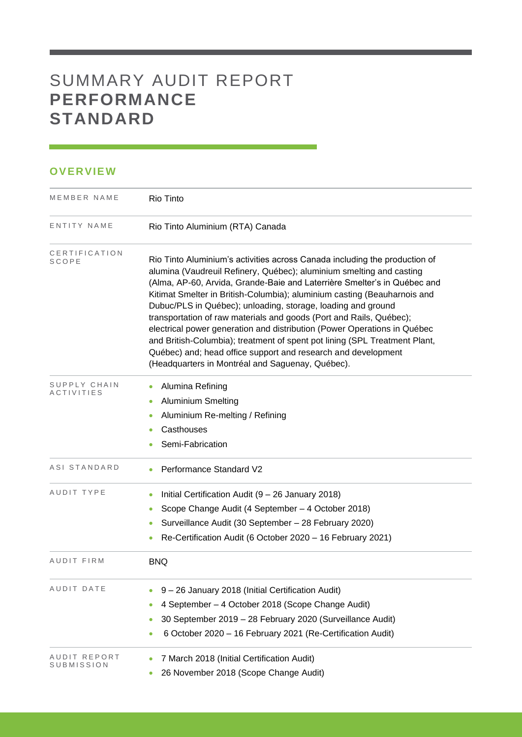# SUMMARY AUDIT REPORT **PERFORMANCE STANDARD**

## **OVERVIEW**

| MEMBER NAME                | Rio Tinto                                                                                                                                                                                                                                                                                                                                                                                                                                                                                                                                                                                                                                                                                                                        |  |  |  |  |
|----------------------------|----------------------------------------------------------------------------------------------------------------------------------------------------------------------------------------------------------------------------------------------------------------------------------------------------------------------------------------------------------------------------------------------------------------------------------------------------------------------------------------------------------------------------------------------------------------------------------------------------------------------------------------------------------------------------------------------------------------------------------|--|--|--|--|
| ENTITY NAME                | Rio Tinto Aluminium (RTA) Canada                                                                                                                                                                                                                                                                                                                                                                                                                                                                                                                                                                                                                                                                                                 |  |  |  |  |
| CERTIFICATION<br>SCOPE     | Rio Tinto Aluminium's activities across Canada including the production of<br>alumina (Vaudreuil Refinery, Québec); aluminium smelting and casting<br>(Alma, AP-60, Arvida, Grande-Baie and Laterrière Smelter's in Québec and<br>Kitimat Smelter in British-Columbia); aluminium casting (Beauharnois and<br>Dubuc/PLS in Québec); unloading, storage, loading and ground<br>transportation of raw materials and goods (Port and Rails, Québec);<br>electrical power generation and distribution (Power Operations in Québec<br>and British-Columbia); treatment of spent pot lining (SPL Treatment Plant,<br>Québec) and; head office support and research and development<br>(Headquarters in Montréal and Saguenay, Québec). |  |  |  |  |
| SUPPLY CHAIN<br>ACTIVITIES | Alumina Refining<br><b>Aluminium Smelting</b><br>$\bullet$<br>Aluminium Re-melting / Refining<br>Casthouses<br>Semi-Fabrication                                                                                                                                                                                                                                                                                                                                                                                                                                                                                                                                                                                                  |  |  |  |  |
| ASI STANDARD               | Performance Standard V2                                                                                                                                                                                                                                                                                                                                                                                                                                                                                                                                                                                                                                                                                                          |  |  |  |  |
| AUDIT TYPE                 | Initial Certification Audit (9 - 26 January 2018)<br>Scope Change Audit (4 September - 4 October 2018)<br>Surveillance Audit (30 September - 28 February 2020)<br>0<br>Re-Certification Audit (6 October 2020 - 16 February 2021)                                                                                                                                                                                                                                                                                                                                                                                                                                                                                                |  |  |  |  |
| AUDIT FIRM                 | <b>BNQ</b>                                                                                                                                                                                                                                                                                                                                                                                                                                                                                                                                                                                                                                                                                                                       |  |  |  |  |
| AUDIT DATE                 | 9 - 26 January 2018 (Initial Certification Audit)<br>4 September - 4 October 2018 (Scope Change Audit)<br>30 September 2019 - 28 February 2020 (Surveillance Audit)<br>6 October 2020 - 16 February 2021 (Re-Certification Audit)                                                                                                                                                                                                                                                                                                                                                                                                                                                                                                |  |  |  |  |
| AUDIT REPORT<br>SUBMISSION | 7 March 2018 (Initial Certification Audit)<br>26 November 2018 (Scope Change Audit)                                                                                                                                                                                                                                                                                                                                                                                                                                                                                                                                                                                                                                              |  |  |  |  |

and the control of the control of the control of the control of the control of the control of the control of the control of the control of the control of the control of the control of the control of the control of the cont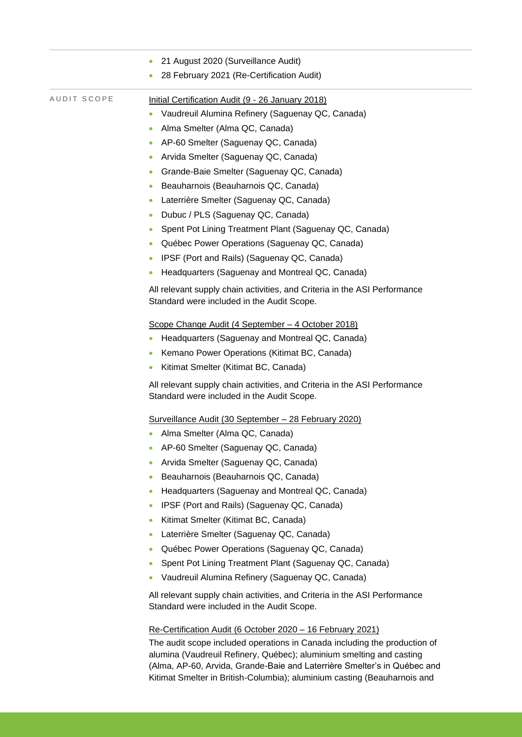|             | 21 August 2020 (Surveillance Audit)                                                                                     |
|-------------|-------------------------------------------------------------------------------------------------------------------------|
|             | 28 February 2021 (Re-Certification Audit)<br>$\bullet$                                                                  |
| AUDIT SCOPE | Initial Certification Audit (9 - 26 January 2018)                                                                       |
|             | Vaudreuil Alumina Refinery (Saguenay QC, Canada)                                                                        |
|             | Alma Smelter (Alma QC, Canada)<br>$\bullet$                                                                             |
|             | AP-60 Smelter (Saguenay QC, Canada)                                                                                     |
|             | Arvida Smelter (Saguenay QC, Canada)<br>$\bullet$                                                                       |
|             | Grande-Baie Smelter (Saguenay QC, Canada)<br>$\bullet$                                                                  |
|             | Beauharnois (Beauharnois QC, Canada)<br>$\bullet$                                                                       |
|             | Laterrière Smelter (Saguenay QC, Canada)<br>$\bullet$                                                                   |
|             | Dubuc / PLS (Saguenay QC, Canada)<br>$\bullet$                                                                          |
|             | Spent Pot Lining Treatment Plant (Saguenay QC, Canada)<br>$\bullet$                                                     |
|             | Québec Power Operations (Saguenay QC, Canada)<br>$\bullet$                                                              |
|             | IPSF (Port and Rails) (Saguenay QC, Canada)<br>۰                                                                        |
|             | Headquarters (Saguenay and Montreal QC, Canada)<br>$\bullet$                                                            |
|             | All relevant supply chain activities, and Criteria in the ASI Performance<br>Standard were included in the Audit Scope. |
|             | Scope Change Audit (4 September - 4 October 2018)                                                                       |
|             | Headquarters (Saguenay and Montreal QC, Canada)<br>$\bullet$                                                            |
|             | Kemano Power Operations (Kitimat BC, Canada)                                                                            |
|             | Kitimat Smelter (Kitimat BC, Canada)<br>۰                                                                               |
|             | All relevant supply chain activities, and Criteria in the ASI Performance<br>Standard were included in the Audit Scope. |
|             | Surveillance Audit (30 September - 28 February 2020)                                                                    |
|             | Alma Smelter (Alma QC, Canada)                                                                                          |
|             | AP-60 Smelter (Saguenay QC, Canada)                                                                                     |
|             | Arvida Smelter (Saguenay QC, Canada)                                                                                    |
|             | Beauharnois (Beauharnois QC, Canada)<br>$\bullet$                                                                       |
|             | Headquarters (Saguenay and Montreal QC, Canada)<br>۰                                                                    |
|             | IPSF (Port and Rails) (Saguenay QC, Canada)                                                                             |
|             | Kitimat Smelter (Kitimat BC, Canada)<br>۰                                                                               |
|             | Laterrière Smelter (Saguenay QC, Canada)                                                                                |
|             | Québec Power Operations (Saguenay QC, Canada)<br>۰                                                                      |
|             | Spent Pot Lining Treatment Plant (Saguenay QC, Canada)<br>$\bullet$                                                     |
|             | Vaudreuil Alumina Refinery (Saguenay QC, Canada)                                                                        |
|             | All relevant supply chain activities, and Criteria in the ASI Performance<br>Standard were included in the Audit Scope. |
|             | Re-Certification Audit (6 October 2020 - 16 February 2021)                                                              |
|             | The audit scope included operations in Canada including the production of                                               |

alumina (Vaudreuil Refinery, Québec); aluminium smelting and casting (Alma, AP-60, Arvida, Grande-Baie and Laterrière Smelter's in Québec and Kitimat Smelter in British-Columbia); aluminium casting (Beauharnois and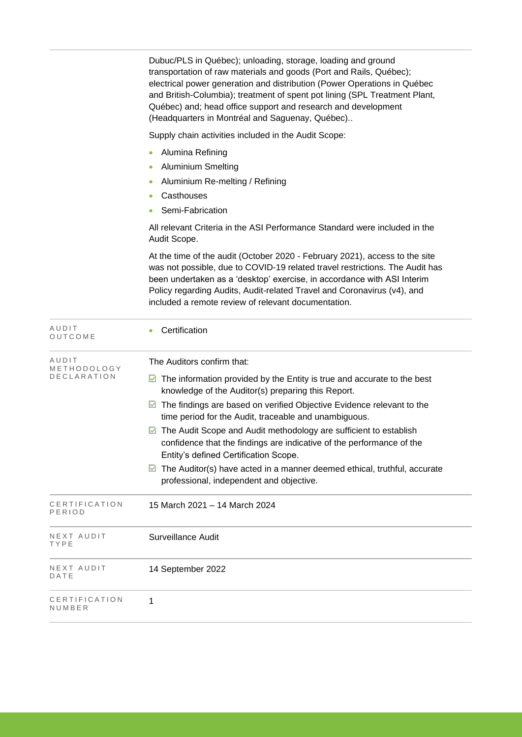Dubuc/PLS in Québec); unloading, storage, loading and ground transportation of raw materials and goods (Port and Rails, Québec); electrical power generation and distribution (Power Operations in Québec and British-Columbia); treatment of spent pot lining (SPL Treatment Plant, Québec) and; head office support and research and development (Headquarters in Montréal and Saguenay, Québec)..

Supply chain activities included in the Audit Scope:

- Alumina Refining
- Aluminium Smelting
- Aluminium Re-melting / Refining
- Casthouses
- Semi-Fabrication

All relevant Criteria in the ASI Performance Standard were included in the Audit Scope.

At the time of the audit (October 2020 - February 2021), access to the site was not possible, due to COVID-19 related travel restrictions. The Audit has been undertaken as a 'desktop' exercise, in accordance with ASI Interim Policy regarding Audits, Audit-related Travel and Coronavirus (v4), and included a remote review of relevant documentation.

| AUDIT<br>OUTCOME        | Certification                                                                                                                                                                       |  |  |  |
|-------------------------|-------------------------------------------------------------------------------------------------------------------------------------------------------------------------------------|--|--|--|
| AUDIT<br>METHODOLOGY    | The Auditors confirm that:                                                                                                                                                          |  |  |  |
| <b>DECLARATION</b>      | The information provided by the Entity is true and accurate to the best<br>M<br>knowledge of the Auditor(s) preparing this Report.                                                  |  |  |  |
|                         | The findings are based on verified Objective Evidence relevant to the<br>time period for the Audit, traceable and unambiguous.                                                      |  |  |  |
|                         | The Audit Scope and Audit methodology are sufficient to establish<br>confidence that the findings are indicative of the performance of the<br>Entity's defined Certification Scope. |  |  |  |
|                         | The Auditor(s) have acted in a manner deemed ethical, truthful, accurate<br>M<br>professional, independent and objective.                                                           |  |  |  |
| CERTIFICATION<br>PERIOD | 15 March 2021 - 14 March 2024                                                                                                                                                       |  |  |  |
| NEXT AUDIT<br>TYPE      | Surveillance Audit                                                                                                                                                                  |  |  |  |
| NEXT AUDIT<br>DATE      | 14 September 2022                                                                                                                                                                   |  |  |  |
| CERTIFICATION<br>NUMBER | 1                                                                                                                                                                                   |  |  |  |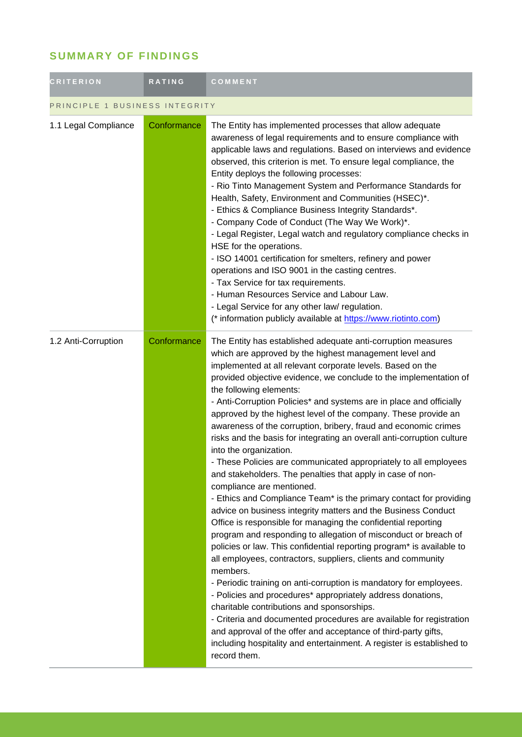# **SUMMARY OF FINDINGS**

| <b>CRITERION</b>               | RATING      | COMMENT                                                                                                                                                                                                                                                                                                                                                                                                                                                                                                                                                                                                                                                                                                                                                                                                                                                                                                                                                                                                                                                                                                                                                                                                                                                                                                                                                                                                                                                                                                                                                                                                                  |
|--------------------------------|-------------|--------------------------------------------------------------------------------------------------------------------------------------------------------------------------------------------------------------------------------------------------------------------------------------------------------------------------------------------------------------------------------------------------------------------------------------------------------------------------------------------------------------------------------------------------------------------------------------------------------------------------------------------------------------------------------------------------------------------------------------------------------------------------------------------------------------------------------------------------------------------------------------------------------------------------------------------------------------------------------------------------------------------------------------------------------------------------------------------------------------------------------------------------------------------------------------------------------------------------------------------------------------------------------------------------------------------------------------------------------------------------------------------------------------------------------------------------------------------------------------------------------------------------------------------------------------------------------------------------------------------------|
| PRINCIPLE 1 BUSINESS INTEGRITY |             |                                                                                                                                                                                                                                                                                                                                                                                                                                                                                                                                                                                                                                                                                                                                                                                                                                                                                                                                                                                                                                                                                                                                                                                                                                                                                                                                                                                                                                                                                                                                                                                                                          |
| 1.1 Legal Compliance           | Conformance | The Entity has implemented processes that allow adequate<br>awareness of legal requirements and to ensure compliance with<br>applicable laws and regulations. Based on interviews and evidence<br>observed, this criterion is met. To ensure legal compliance, the<br>Entity deploys the following processes:<br>- Rio Tinto Management System and Performance Standards for<br>Health, Safety, Environment and Communities (HSEC)*.<br>- Ethics & Compliance Business Integrity Standards*.<br>- Company Code of Conduct (The Way We Work)*.<br>- Legal Register, Legal watch and regulatory compliance checks in<br>HSE for the operations.<br>- ISO 14001 certification for smelters, refinery and power<br>operations and ISO 9001 in the casting centres.<br>- Tax Service for tax requirements.<br>- Human Resources Service and Labour Law.<br>- Legal Service for any other law/ regulation.<br>(* information publicly available at https://www.riotinto.com)                                                                                                                                                                                                                                                                                                                                                                                                                                                                                                                                                                                                                                                   |
| 1.2 Anti-Corruption            | Conformance | The Entity has established adequate anti-corruption measures<br>which are approved by the highest management level and<br>implemented at all relevant corporate levels. Based on the<br>provided objective evidence, we conclude to the implementation of<br>the following elements:<br>- Anti-Corruption Policies* and systems are in place and officially<br>approved by the highest level of the company. These provide an<br>awareness of the corruption, bribery, fraud and economic crimes<br>risks and the basis for integrating an overall anti-corruption culture<br>into the organization.<br>- These Policies are communicated appropriately to all employees<br>and stakeholders. The penalties that apply in case of non-<br>compliance are mentioned.<br>- Ethics and Compliance Team* is the primary contact for providing<br>advice on business integrity matters and the Business Conduct<br>Office is responsible for managing the confidential reporting<br>program and responding to allegation of misconduct or breach of<br>policies or law. This confidential reporting program* is available to<br>all employees, contractors, suppliers, clients and community<br>members.<br>- Periodic training on anti-corruption is mandatory for employees.<br>- Policies and procedures* appropriately address donations,<br>charitable contributions and sponsorships.<br>- Criteria and documented procedures are available for registration<br>and approval of the offer and acceptance of third-party gifts,<br>including hospitality and entertainment. A register is established to<br>record them. |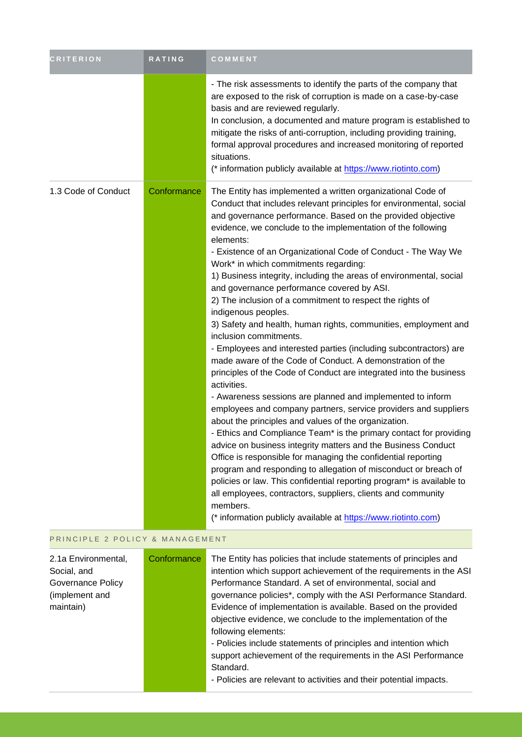| <b>CRITERION</b>    | RATING      | COMMENT                                                                                                                                                                                                                                                                                                                                                                                                                                                                                                                                                                                                                                                                                                                                                                                                                                                                                                                                                                                                                                                                                                                                                                                                                                                                                                                                                                                                                                                                                                                                                                                                          |
|---------------------|-------------|------------------------------------------------------------------------------------------------------------------------------------------------------------------------------------------------------------------------------------------------------------------------------------------------------------------------------------------------------------------------------------------------------------------------------------------------------------------------------------------------------------------------------------------------------------------------------------------------------------------------------------------------------------------------------------------------------------------------------------------------------------------------------------------------------------------------------------------------------------------------------------------------------------------------------------------------------------------------------------------------------------------------------------------------------------------------------------------------------------------------------------------------------------------------------------------------------------------------------------------------------------------------------------------------------------------------------------------------------------------------------------------------------------------------------------------------------------------------------------------------------------------------------------------------------------------------------------------------------------------|
|                     |             | - The risk assessments to identify the parts of the company that<br>are exposed to the risk of corruption is made on a case-by-case<br>basis and are reviewed regularly.<br>In conclusion, a documented and mature program is established to<br>mitigate the risks of anti-corruption, including providing training,<br>formal approval procedures and increased monitoring of reported<br>situations.<br>(* information publicly available at https://www.riotinto.com)                                                                                                                                                                                                                                                                                                                                                                                                                                                                                                                                                                                                                                                                                                                                                                                                                                                                                                                                                                                                                                                                                                                                         |
| 1.3 Code of Conduct | Conformance | The Entity has implemented a written organizational Code of<br>Conduct that includes relevant principles for environmental, social<br>and governance performance. Based on the provided objective<br>evidence, we conclude to the implementation of the following<br>elements:<br>- Existence of an Organizational Code of Conduct - The Way We<br>Work* in which commitments regarding:<br>1) Business integrity, including the areas of environmental, social<br>and governance performance covered by ASI.<br>2) The inclusion of a commitment to respect the rights of<br>indigenous peoples.<br>3) Safety and health, human rights, communities, employment and<br>inclusion commitments.<br>- Employees and interested parties (including subcontractors) are<br>made aware of the Code of Conduct. A demonstration of the<br>principles of the Code of Conduct are integrated into the business<br>activities.<br>- Awareness sessions are planned and implemented to inform<br>employees and company partners, service providers and suppliers<br>about the principles and values of the organization.<br>- Ethics and Compliance Team* is the primary contact for providing<br>advice on business integrity matters and the Business Conduct<br>Office is responsible for managing the confidential reporting<br>program and responding to allegation of misconduct or breach of<br>policies or law. This confidential reporting program* is available to<br>all employees, contractors, suppliers, clients and community<br>members.<br>(* information publicly available at https://www.riotinto.com) |

#### PRINCIPLE 2 POLICY & MANAGEMENT

| 2.1a Environmental,<br>Social, and<br>Governance Policy<br>(implement and<br>maintain) | Conformance | The Entity has policies that include statements of principles and<br>intention which support achievement of the requirements in the ASI<br>Performance Standard. A set of environmental, social and<br>governance policies*, comply with the ASI Performance Standard.<br>Evidence of implementation is available. Based on the provided<br>objective evidence, we conclude to the implementation of the<br>following elements:<br>- Policies include statements of principles and intention which<br>support achievement of the requirements in the ASI Performance<br>Standard.<br>- Policies are relevant to activities and their potential impacts. |
|----------------------------------------------------------------------------------------|-------------|---------------------------------------------------------------------------------------------------------------------------------------------------------------------------------------------------------------------------------------------------------------------------------------------------------------------------------------------------------------------------------------------------------------------------------------------------------------------------------------------------------------------------------------------------------------------------------------------------------------------------------------------------------|
|----------------------------------------------------------------------------------------|-------------|---------------------------------------------------------------------------------------------------------------------------------------------------------------------------------------------------------------------------------------------------------------------------------------------------------------------------------------------------------------------------------------------------------------------------------------------------------------------------------------------------------------------------------------------------------------------------------------------------------------------------------------------------------|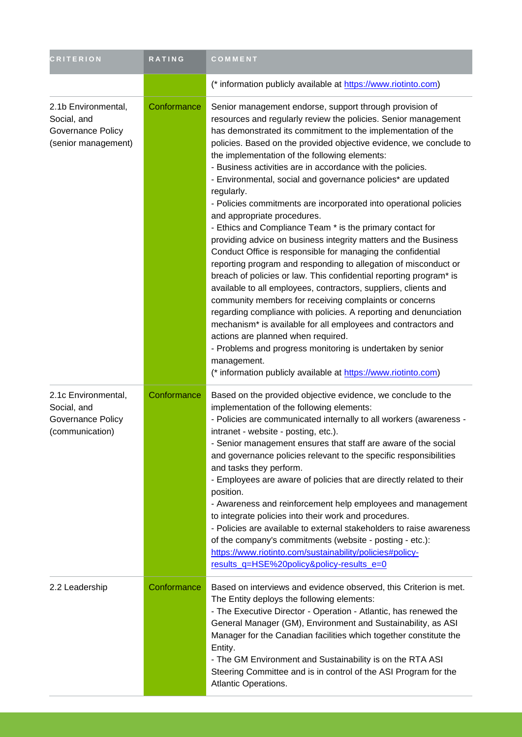| <b>CRITERION</b>                                                               | RATING      | COMMENT                                                                                                                                                                                                                                                                                                                                                                                                                                                                                                                                                                                                                                                                                                                                                                                                                                                                                                                                                                                                                                                                                                                                                                                                                                                                                                                                                         |
|--------------------------------------------------------------------------------|-------------|-----------------------------------------------------------------------------------------------------------------------------------------------------------------------------------------------------------------------------------------------------------------------------------------------------------------------------------------------------------------------------------------------------------------------------------------------------------------------------------------------------------------------------------------------------------------------------------------------------------------------------------------------------------------------------------------------------------------------------------------------------------------------------------------------------------------------------------------------------------------------------------------------------------------------------------------------------------------------------------------------------------------------------------------------------------------------------------------------------------------------------------------------------------------------------------------------------------------------------------------------------------------------------------------------------------------------------------------------------------------|
|                                                                                |             | (* information publicly available at https://www.riotinto.com)                                                                                                                                                                                                                                                                                                                                                                                                                                                                                                                                                                                                                                                                                                                                                                                                                                                                                                                                                                                                                                                                                                                                                                                                                                                                                                  |
| 2.1b Environmental,<br>Social, and<br>Governance Policy<br>(senior management) | Conformance | Senior management endorse, support through provision of<br>resources and regularly review the policies. Senior management<br>has demonstrated its commitment to the implementation of the<br>policies. Based on the provided objective evidence, we conclude to<br>the implementation of the following elements:<br>- Business activities are in accordance with the policies.<br>- Environmental, social and governance policies* are updated<br>regularly.<br>- Policies commitments are incorporated into operational policies<br>and appropriate procedures.<br>- Ethics and Compliance Team * is the primary contact for<br>providing advice on business integrity matters and the Business<br>Conduct Office is responsible for managing the confidential<br>reporting program and responding to allegation of misconduct or<br>breach of policies or law. This confidential reporting program* is<br>available to all employees, contractors, suppliers, clients and<br>community members for receiving complaints or concerns<br>regarding compliance with policies. A reporting and denunciation<br>mechanism* is available for all employees and contractors and<br>actions are planned when required.<br>- Problems and progress monitoring is undertaken by senior<br>management.<br>(* information publicly available at https://www.riotinto.com) |
| 2.1c Environmental,<br>Social, and<br>Governance Policy<br>(communication)     | Conformance | Based on the provided objective evidence, we conclude to the<br>implementation of the following elements:<br>- Policies are communicated internally to all workers (awareness -<br>intranet - website - posting, etc.).<br>- Senior management ensures that staff are aware of the social<br>and governance policies relevant to the specific responsibilities<br>and tasks they perform.<br>- Employees are aware of policies that are directly related to their<br>position.<br>- Awareness and reinforcement help employees and management<br>to integrate policies into their work and procedures.<br>- Policies are available to external stakeholders to raise awareness<br>of the company's commitments (website - posting - etc.):<br>https://www.riotinto.com/sustainability/policies#policy-<br>results_q=HSE%20policy&policy-results_e=0                                                                                                                                                                                                                                                                                                                                                                                                                                                                                                             |
| 2.2 Leadership                                                                 | Conformance | Based on interviews and evidence observed, this Criterion is met.<br>The Entity deploys the following elements:<br>- The Executive Director - Operation - Atlantic, has renewed the<br>General Manager (GM), Environment and Sustainability, as ASI<br>Manager for the Canadian facilities which together constitute the<br>Entity.<br>- The GM Environment and Sustainability is on the RTA ASI<br>Steering Committee and is in control of the ASI Program for the<br>Atlantic Operations.                                                                                                                                                                                                                                                                                                                                                                                                                                                                                                                                                                                                                                                                                                                                                                                                                                                                     |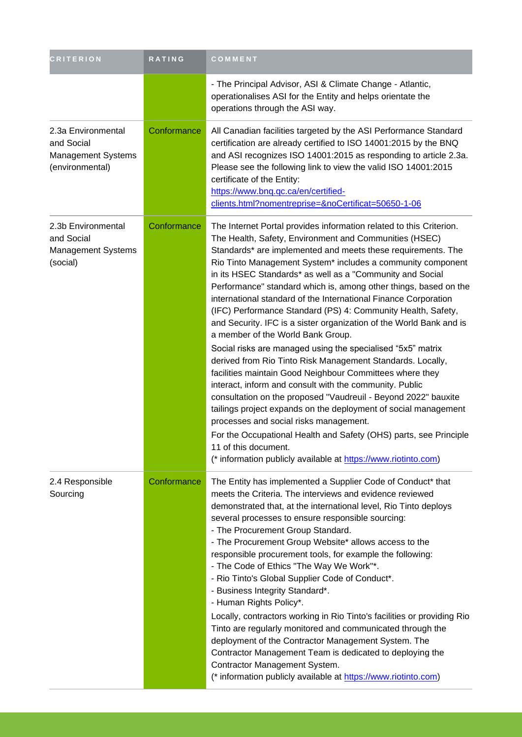| <b>CRITERION</b>                                                          | RATING      | COMMENT                                                                                                                                                                                                                                                                                                                                                                                                                                                                                                                                                                                                                                                                                                                                                                                                                                                                                                                                                                                                                                                                                                                                                                                                                                        |
|---------------------------------------------------------------------------|-------------|------------------------------------------------------------------------------------------------------------------------------------------------------------------------------------------------------------------------------------------------------------------------------------------------------------------------------------------------------------------------------------------------------------------------------------------------------------------------------------------------------------------------------------------------------------------------------------------------------------------------------------------------------------------------------------------------------------------------------------------------------------------------------------------------------------------------------------------------------------------------------------------------------------------------------------------------------------------------------------------------------------------------------------------------------------------------------------------------------------------------------------------------------------------------------------------------------------------------------------------------|
|                                                                           |             | - The Principal Advisor, ASI & Climate Change - Atlantic,<br>operationalises ASI for the Entity and helps orientate the<br>operations through the ASI way.                                                                                                                                                                                                                                                                                                                                                                                                                                                                                                                                                                                                                                                                                                                                                                                                                                                                                                                                                                                                                                                                                     |
| 2.3a Environmental<br>and Social<br>Management Systems<br>(environmental) | Conformance | All Canadian facilities targeted by the ASI Performance Standard<br>certification are already certified to ISO 14001:2015 by the BNQ<br>and ASI recognizes ISO 14001:2015 as responding to article 2.3a.<br>Please see the following link to view the valid ISO 14001:2015<br>certificate of the Entity:<br>https://www.bng.gc.ca/en/certified-<br>clients.html?nomentreprise=&noCertificat=50650-1-06                                                                                                                                                                                                                                                                                                                                                                                                                                                                                                                                                                                                                                                                                                                                                                                                                                         |
| 2.3b Environmental<br>and Social<br>Management Systems<br>(social)        | Conformance | The Internet Portal provides information related to this Criterion.<br>The Health, Safety, Environment and Communities (HSEC)<br>Standards* are implemented and meets these requirements. The<br>Rio Tinto Management System* includes a community component<br>in its HSEC Standards* as well as a "Community and Social<br>Performance" standard which is, among other things, based on the<br>international standard of the International Finance Corporation<br>(IFC) Performance Standard (PS) 4: Community Health, Safety,<br>and Security. IFC is a sister organization of the World Bank and is<br>a member of the World Bank Group.<br>Social risks are managed using the specialised "5x5" matrix<br>derived from Rio Tinto Risk Management Standards. Locally,<br>facilities maintain Good Neighbour Committees where they<br>interact, inform and consult with the community. Public<br>consultation on the proposed "Vaudreuil - Beyond 2022" bauxite<br>tailings project expands on the deployment of social management<br>processes and social risks management.<br>For the Occupational Health and Safety (OHS) parts, see Principle<br>11 of this document.<br>(* information publicly available at https://www.riotinto.com) |
| 2.4 Responsible<br>Sourcing                                               | Conformance | The Entity has implemented a Supplier Code of Conduct* that<br>meets the Criteria. The interviews and evidence reviewed<br>demonstrated that, at the international level, Rio Tinto deploys<br>several processes to ensure responsible sourcing:<br>- The Procurement Group Standard.<br>- The Procurement Group Website* allows access to the<br>responsible procurement tools, for example the following:<br>- The Code of Ethics "The Way We Work"*.<br>- Rio Tinto's Global Supplier Code of Conduct*.<br>- Business Integrity Standard*.<br>- Human Rights Policy*.<br>Locally, contractors working in Rio Tinto's facilities or providing Rio<br>Tinto are regularly monitored and communicated through the<br>deployment of the Contractor Management System. The<br>Contractor Management Team is dedicated to deploying the<br>Contractor Management System.<br>(* information publicly available at https://www.riotinto.com)                                                                                                                                                                                                                                                                                                        |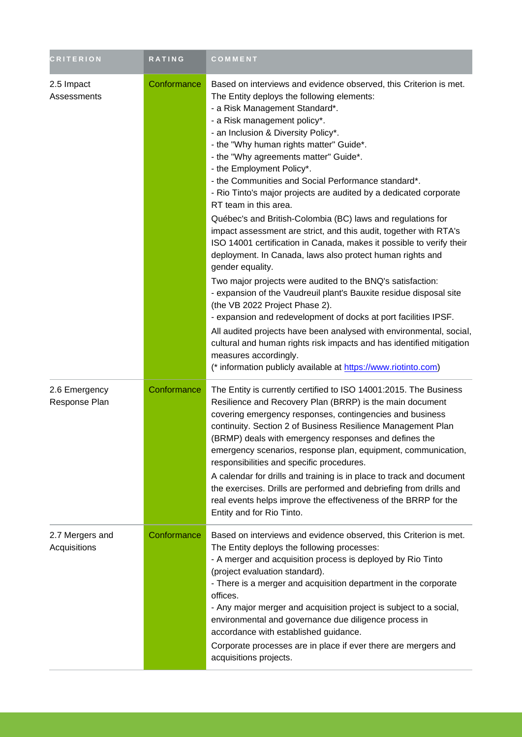| <b>CRITERION</b>                | RATING      | <b>COMMENT</b>                                                                                                                                                                                                                                                                                                                                                                                                                                                                                                                                                                                                                                                                                                                                                                                                                                                                                                                                                                                                                                                                                                                                                                                                                                                                 |
|---------------------------------|-------------|--------------------------------------------------------------------------------------------------------------------------------------------------------------------------------------------------------------------------------------------------------------------------------------------------------------------------------------------------------------------------------------------------------------------------------------------------------------------------------------------------------------------------------------------------------------------------------------------------------------------------------------------------------------------------------------------------------------------------------------------------------------------------------------------------------------------------------------------------------------------------------------------------------------------------------------------------------------------------------------------------------------------------------------------------------------------------------------------------------------------------------------------------------------------------------------------------------------------------------------------------------------------------------|
| 2.5 Impact<br>Assessments       | Conformance | Based on interviews and evidence observed, this Criterion is met.<br>The Entity deploys the following elements:<br>- a Risk Management Standard*.<br>- a Risk management policy*.<br>- an Inclusion & Diversity Policy*.<br>- the "Why human rights matter" Guide*.<br>- the "Why agreements matter" Guide*.<br>- the Employment Policy*.<br>- the Communities and Social Performance standard*.<br>- Rio Tinto's major projects are audited by a dedicated corporate<br>RT team in this area.<br>Québec's and British-Colombia (BC) laws and regulations for<br>impact assessment are strict, and this audit, together with RTA's<br>ISO 14001 certification in Canada, makes it possible to verify their<br>deployment. In Canada, laws also protect human rights and<br>gender equality.<br>Two major projects were audited to the BNQ's satisfaction:<br>- expansion of the Vaudreuil plant's Bauxite residue disposal site<br>(the VB 2022 Project Phase 2).<br>- expansion and redevelopment of docks at port facilities IPSF.<br>All audited projects have been analysed with environmental, social,<br>cultural and human rights risk impacts and has identified mitigation<br>measures accordingly.<br>(* information publicly available at https://www.riotinto.com) |
| 2.6 Emergency<br>Response Plan  | Conformance | The Entity is currently certified to ISO 14001:2015. The Business<br>Resilience and Recovery Plan (BRRP) is the main document<br>covering emergency responses, contingencies and business<br>continuity. Section 2 of Business Resilience Management Plan<br>(BRMP) deals with emergency responses and defines the<br>emergency scenarios, response plan, equipment, communication,<br>responsibilities and specific procedures.<br>A calendar for drills and training is in place to track and document<br>the exercises. Drills are performed and debriefing from drills and<br>real events helps improve the effectiveness of the BRRP for the<br>Entity and for Rio Tinto.                                                                                                                                                                                                                                                                                                                                                                                                                                                                                                                                                                                                 |
| 2.7 Mergers and<br>Acquisitions | Conformance | Based on interviews and evidence observed, this Criterion is met.<br>The Entity deploys the following processes:<br>- A merger and acquisition process is deployed by Rio Tinto<br>(project evaluation standard).<br>- There is a merger and acquisition department in the corporate<br>offices.<br>- Any major merger and acquisition project is subject to a social,<br>environmental and governance due diligence process in<br>accordance with established guidance.<br>Corporate processes are in place if ever there are mergers and<br>acquisitions projects.                                                                                                                                                                                                                                                                                                                                                                                                                                                                                                                                                                                                                                                                                                           |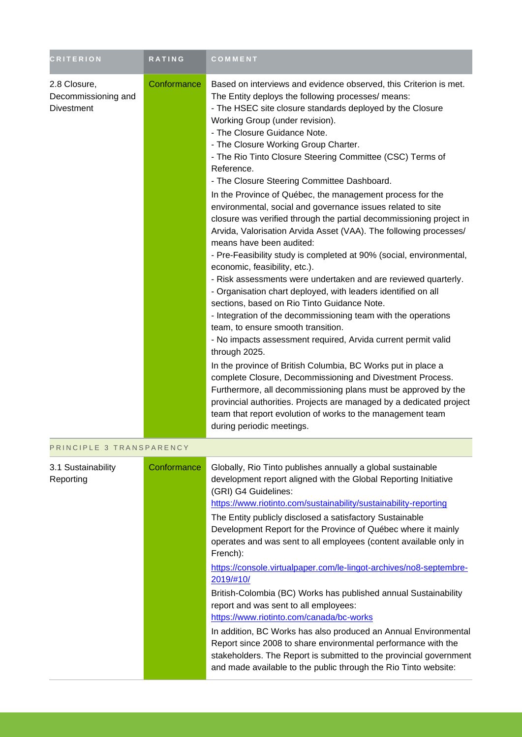| <b>CRITERION</b>                                  | RATING      | <b>COMMENT</b>                                                                                                                                                                                                                                                                                                                                                                                                                                                                                                                                                                                                                                                                                                                                                                                                                                                                                                                                                                                                                                                                                                                                                                                                                                                                                                                                                                                                                                                                                                                                                                    |
|---------------------------------------------------|-------------|-----------------------------------------------------------------------------------------------------------------------------------------------------------------------------------------------------------------------------------------------------------------------------------------------------------------------------------------------------------------------------------------------------------------------------------------------------------------------------------------------------------------------------------------------------------------------------------------------------------------------------------------------------------------------------------------------------------------------------------------------------------------------------------------------------------------------------------------------------------------------------------------------------------------------------------------------------------------------------------------------------------------------------------------------------------------------------------------------------------------------------------------------------------------------------------------------------------------------------------------------------------------------------------------------------------------------------------------------------------------------------------------------------------------------------------------------------------------------------------------------------------------------------------------------------------------------------------|
| 2.8 Closure,<br>Decommissioning and<br>Divestment | Conformance | Based on interviews and evidence observed, this Criterion is met.<br>The Entity deploys the following processes/ means:<br>- The HSEC site closure standards deployed by the Closure<br>Working Group (under revision).<br>- The Closure Guidance Note.<br>- The Closure Working Group Charter.<br>- The Rio Tinto Closure Steering Committee (CSC) Terms of<br>Reference.<br>- The Closure Steering Committee Dashboard.<br>In the Province of Québec, the management process for the<br>environmental, social and governance issues related to site<br>closure was verified through the partial decommissioning project in<br>Arvida, Valorisation Arvida Asset (VAA). The following processes/<br>means have been audited:<br>- Pre-Feasibility study is completed at 90% (social, environmental,<br>economic, feasibility, etc.).<br>- Risk assessments were undertaken and are reviewed quarterly.<br>- Organisation chart deployed, with leaders identified on all<br>sections, based on Rio Tinto Guidance Note.<br>- Integration of the decommissioning team with the operations<br>team, to ensure smooth transition.<br>- No impacts assessment required, Arvida current permit valid<br>through 2025.<br>In the province of British Columbia, BC Works put in place a<br>complete Closure, Decommissioning and Divestment Process.<br>Furthermore, all decommissioning plans must be approved by the<br>provincial authorities. Projects are managed by a dedicated project<br>team that report evolution of works to the management team<br>during periodic meetings. |
| PRINCIPLE 3 TRANSPARENCY                          |             |                                                                                                                                                                                                                                                                                                                                                                                                                                                                                                                                                                                                                                                                                                                                                                                                                                                                                                                                                                                                                                                                                                                                                                                                                                                                                                                                                                                                                                                                                                                                                                                   |
| 3.1 Sustainability<br>Reporting                   | Conformance | Globally, Rio Tinto publishes annually a global sustainable<br>development report aligned with the Global Reporting Initiative<br>(GRI) G4 Guidelines:<br>https://www.riotinto.com/sustainability/sustainability-reporting<br>The Entity publicly disclosed a satisfactory Sustainable<br>Development Report for the Province of Québec where it mainly<br>operates and was sent to all employees (content available only in<br>French):<br>https://console.virtualpaper.com/le-lingot-archives/no8-septembre-<br>2019/#10/<br>British-Colombia (BC) Works has published annual Sustainability<br>report and was sent to all employees:<br>https://www.riotinto.com/canada/bc-works<br>In addition, BC Works has also produced an Annual Environmental<br>Report since 2008 to share environmental performance with the<br>stakeholders. The Report is submitted to the provincial government<br>and made available to the public through the Rio Tinto website:                                                                                                                                                                                                                                                                                                                                                                                                                                                                                                                                                                                                                  |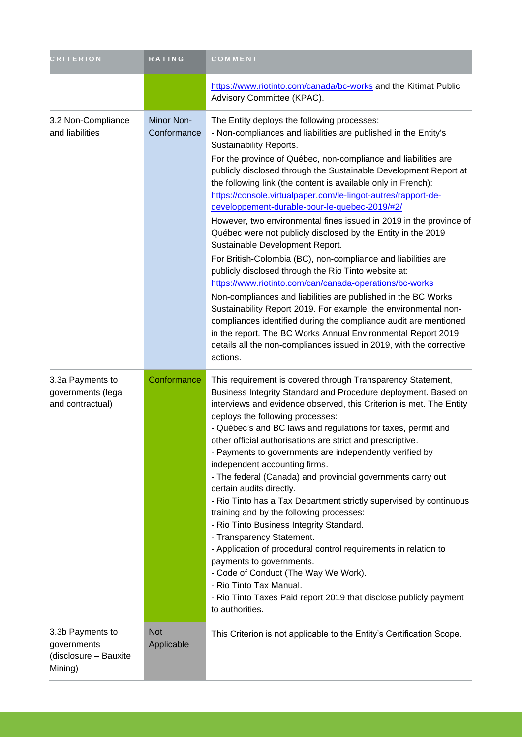| <b>CRITERION</b>                                                    | RATING                    | COMMENT                                                                                                                                                                                                                                                                                                                                                                                                                                                                                                                                                                                                                                                                                                                                                                                                                                                                                                                                                                                                                                                                                                                                                                                    |
|---------------------------------------------------------------------|---------------------------|--------------------------------------------------------------------------------------------------------------------------------------------------------------------------------------------------------------------------------------------------------------------------------------------------------------------------------------------------------------------------------------------------------------------------------------------------------------------------------------------------------------------------------------------------------------------------------------------------------------------------------------------------------------------------------------------------------------------------------------------------------------------------------------------------------------------------------------------------------------------------------------------------------------------------------------------------------------------------------------------------------------------------------------------------------------------------------------------------------------------------------------------------------------------------------------------|
|                                                                     |                           | https://www.riotinto.com/canada/bc-works and the Kitimat Public<br>Advisory Committee (KPAC).                                                                                                                                                                                                                                                                                                                                                                                                                                                                                                                                                                                                                                                                                                                                                                                                                                                                                                                                                                                                                                                                                              |
| 3.2 Non-Compliance<br>and liabilities                               | Minor Non-<br>Conformance | The Entity deploys the following processes:<br>- Non-compliances and liabilities are published in the Entity's<br>Sustainability Reports.<br>For the province of Québec, non-compliance and liabilities are<br>publicly disclosed through the Sustainable Development Report at<br>the following link (the content is available only in French):<br>https://console.virtualpaper.com/le-lingot-autres/rapport-de-<br>developpement-durable-pour-le-quebec-2019/#2/<br>However, two environmental fines issued in 2019 in the province of<br>Québec were not publicly disclosed by the Entity in the 2019<br>Sustainable Development Report.<br>For British-Colombia (BC), non-compliance and liabilities are<br>publicly disclosed through the Rio Tinto website at:<br>https://www.riotinto.com/can/canada-operations/bc-works<br>Non-compliances and liabilities are published in the BC Works<br>Sustainability Report 2019. For example, the environmental non-<br>compliances identified during the compliance audit are mentioned<br>in the report. The BC Works Annual Environmental Report 2019<br>details all the non-compliances issued in 2019, with the corrective<br>actions. |
| 3.3a Payments to<br>governments (legal<br>and contractual)          | Conformance               | This requirement is covered through Transparency Statement,<br>Business Integrity Standard and Procedure deployment. Based on<br>interviews and evidence observed, this Criterion is met. The Entity<br>deploys the following processes:<br>- Québec's and BC laws and regulations for taxes, permit and<br>other official authorisations are strict and prescriptive<br>- Payments to governments are independently verified by<br>independent accounting firms.<br>- The federal (Canada) and provincial governments carry out<br>certain audits directly.<br>- Rio Tinto has a Tax Department strictly supervised by continuous<br>training and by the following processes:<br>- Rio Tinto Business Integrity Standard.<br>- Transparency Statement.<br>- Application of procedural control requirements in relation to<br>payments to governments.<br>- Code of Conduct (The Way We Work).<br>- Rio Tinto Tax Manual.<br>- Rio Tinto Taxes Paid report 2019 that disclose publicly payment<br>to authorities.                                                                                                                                                                          |
| 3.3b Payments to<br>governments<br>(disclosure - Bauxite<br>Mining) | <b>Not</b><br>Applicable  | This Criterion is not applicable to the Entity's Certification Scope.                                                                                                                                                                                                                                                                                                                                                                                                                                                                                                                                                                                                                                                                                                                                                                                                                                                                                                                                                                                                                                                                                                                      |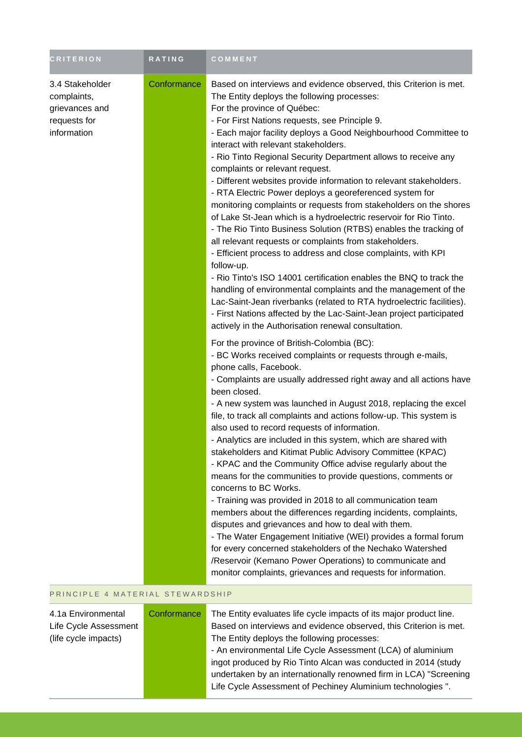| <b>CRITERION</b>                                                                | <b>RATING</b> | COMMENT                                                                                                                                                                                                                                                                                                                                                                                                                                                                                                                                                                                                                                                                                                                                                                                                                                                                                                                                                                                                                                                                                                                                                                                                                                                 |
|---------------------------------------------------------------------------------|---------------|---------------------------------------------------------------------------------------------------------------------------------------------------------------------------------------------------------------------------------------------------------------------------------------------------------------------------------------------------------------------------------------------------------------------------------------------------------------------------------------------------------------------------------------------------------------------------------------------------------------------------------------------------------------------------------------------------------------------------------------------------------------------------------------------------------------------------------------------------------------------------------------------------------------------------------------------------------------------------------------------------------------------------------------------------------------------------------------------------------------------------------------------------------------------------------------------------------------------------------------------------------|
| 3.4 Stakeholder<br>complaints,<br>grievances and<br>requests for<br>information | Conformance   | Based on interviews and evidence observed, this Criterion is met.<br>The Entity deploys the following processes:<br>For the province of Québec:<br>- For First Nations requests, see Principle 9.<br>- Each major facility deploys a Good Neighbourhood Committee to<br>interact with relevant stakeholders.<br>- Rio Tinto Regional Security Department allows to receive any<br>complaints or relevant request.<br>- Different websites provide information to relevant stakeholders.<br>- RTA Electric Power deploys a georeferenced system for<br>monitoring complaints or requests from stakeholders on the shores<br>of Lake St-Jean which is a hydroelectric reservoir for Rio Tinto.<br>- The Rio Tinto Business Solution (RTBS) enables the tracking of<br>all relevant requests or complaints from stakeholders.<br>- Efficient process to address and close complaints, with KPI<br>follow-up.<br>- Rio Tinto's ISO 14001 certification enables the BNQ to track the<br>handling of environmental complaints and the management of the<br>Lac-Saint-Jean riverbanks (related to RTA hydroelectric facilities).<br>- First Nations affected by the Lac-Saint-Jean project participated<br>actively in the Authorisation renewal consultation. |
|                                                                                 |               | For the province of British-Colombia (BC):<br>- BC Works received complaints or requests through e-mails,<br>phone calls, Facebook.<br>- Complaints are usually addressed right away and all actions have<br>been closed.<br>- A new system was launched in August 2018, replacing the excel<br>file, to track all complaints and actions follow-up. This system is<br>also used to record requests of information.<br>- Analytics are included in this system, which are shared with<br>stakeholders and Kitimat Public Advisory Committee (KPAC)<br>- KPAC and the Community Office advise regularly about the<br>means for the communities to provide questions, comments or<br>concerns to BC Works.<br>- Training was provided in 2018 to all communication team<br>members about the differences regarding incidents, complaints,<br>disputes and grievances and how to deal with them.<br>- The Water Engagement Initiative (WEI) provides a formal forum<br>for every concerned stakeholders of the Nechako Watershed<br>/Reservoir (Kemano Power Operations) to communicate and<br>monitor complaints, grievances and requests for information.                                                                                                |
| PRINCIPLE 4 MATERIAL STEWARDSHIP                                                |               |                                                                                                                                                                                                                                                                                                                                                                                                                                                                                                                                                                                                                                                                                                                                                                                                                                                                                                                                                                                                                                                                                                                                                                                                                                                         |
| 4.1a Environmental<br>Life Cycle Assessment<br>(life cycle impacts)             | Conformance   | The Entity evaluates life cycle impacts of its major product line.<br>Based on interviews and evidence observed, this Criterion is met.<br>The Entity deploys the following processes:<br>- An environmental Life Cycle Assessment (LCA) of aluminium<br>ingot produced by Rio Tinto Alcan was conducted in 2014 (study                                                                                                                                                                                                                                                                                                                                                                                                                                                                                                                                                                                                                                                                                                                                                                                                                                                                                                                                 |

undertaken by an internationally renowned firm in LCA) "Screening Life Cycle Assessment of Pechiney Aluminium technologies ".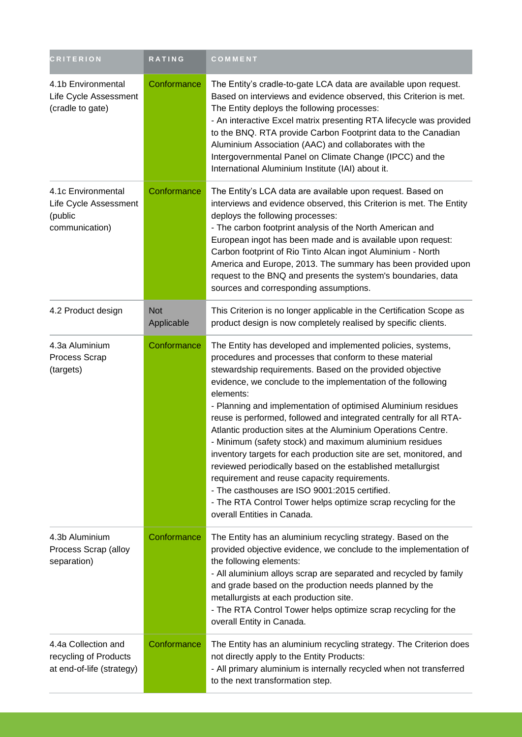| <b>CRITERION</b>                                                          | <b>RATING</b>            | COMMENT                                                                                                                                                                                                                                                                                                                                                                                                                                                                                                                                                                                                                                                                                                                                                                                                                                                                    |
|---------------------------------------------------------------------------|--------------------------|----------------------------------------------------------------------------------------------------------------------------------------------------------------------------------------------------------------------------------------------------------------------------------------------------------------------------------------------------------------------------------------------------------------------------------------------------------------------------------------------------------------------------------------------------------------------------------------------------------------------------------------------------------------------------------------------------------------------------------------------------------------------------------------------------------------------------------------------------------------------------|
| 4.1b Environmental<br>Life Cycle Assessment<br>(cradle to gate)           | Conformance              | The Entity's cradle-to-gate LCA data are available upon request.<br>Based on interviews and evidence observed, this Criterion is met.<br>The Entity deploys the following processes:<br>- An interactive Excel matrix presenting RTA lifecycle was provided<br>to the BNQ. RTA provide Carbon Footprint data to the Canadian<br>Aluminium Association (AAC) and collaborates with the<br>Intergovernmental Panel on Climate Change (IPCC) and the<br>International Aluminium Institute (IAI) about it.                                                                                                                                                                                                                                                                                                                                                                     |
| 4.1c Environmental<br>Life Cycle Assessment<br>(public<br>communication)  | Conformance              | The Entity's LCA data are available upon request. Based on<br>interviews and evidence observed, this Criterion is met. The Entity<br>deploys the following processes:<br>- The carbon footprint analysis of the North American and<br>European ingot has been made and is available upon request:<br>Carbon footprint of Rio Tinto Alcan ingot Aluminium - North<br>America and Europe, 2013. The summary has been provided upon<br>request to the BNQ and presents the system's boundaries, data<br>sources and corresponding assumptions.                                                                                                                                                                                                                                                                                                                                |
| 4.2 Product design                                                        | <b>Not</b><br>Applicable | This Criterion is no longer applicable in the Certification Scope as<br>product design is now completely realised by specific clients.                                                                                                                                                                                                                                                                                                                                                                                                                                                                                                                                                                                                                                                                                                                                     |
| 4.3a Aluminium<br>Process Scrap<br>(targets)                              | Conformance              | The Entity has developed and implemented policies, systems,<br>procedures and processes that conform to these material<br>stewardship requirements. Based on the provided objective<br>evidence, we conclude to the implementation of the following<br>elements:<br>- Planning and implementation of optimised Aluminium residues<br>reuse is performed, followed and integrated centrally for all RTA-<br>Atlantic production sites at the Aluminium Operations Centre.<br>- Minimum (safety stock) and maximum aluminium residues<br>inventory targets for each production site are set, monitored, and<br>reviewed periodically based on the established metallurgist<br>requirement and reuse capacity requirements.<br>- The casthouses are ISO 9001:2015 certified.<br>- The RTA Control Tower helps optimize scrap recycling for the<br>overall Entities in Canada. |
| 4.3b Aluminium<br>Process Scrap (alloy<br>separation)                     | Conformance              | The Entity has an aluminium recycling strategy. Based on the<br>provided objective evidence, we conclude to the implementation of<br>the following elements:<br>- All aluminium alloys scrap are separated and recycled by family<br>and grade based on the production needs planned by the<br>metallurgists at each production site.<br>- The RTA Control Tower helps optimize scrap recycling for the<br>overall Entity in Canada.                                                                                                                                                                                                                                                                                                                                                                                                                                       |
| 4.4a Collection and<br>recycling of Products<br>at end-of-life (strategy) | Conformance              | The Entity has an aluminium recycling strategy. The Criterion does<br>not directly apply to the Entity Products:<br>- All primary aluminium is internally recycled when not transferred<br>to the next transformation step.                                                                                                                                                                                                                                                                                                                                                                                                                                                                                                                                                                                                                                                |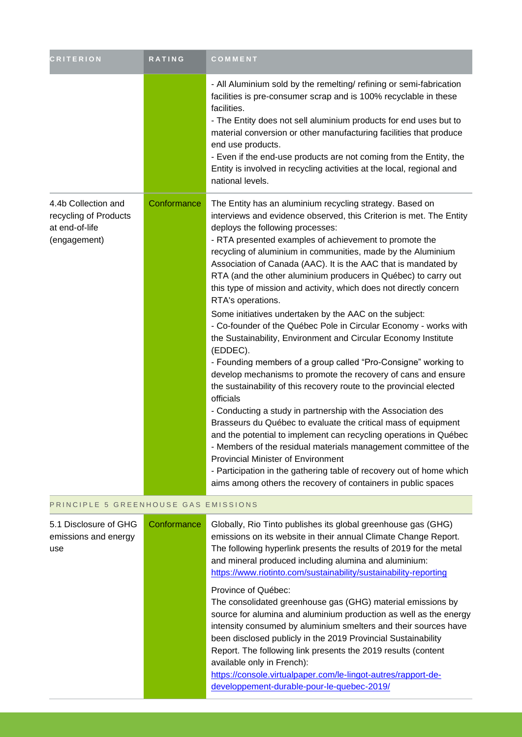| <b>CRITERION</b>                                                               | <b>RATING</b> | COMMENT                                                                                                                                                                                                                                                                                                                                                                                                                                                                                                                                                                                                                                                                                                                                                                                                                                                                                                                                                                                                                                                                                                                                                                                                                                                                                                                                                                                                                         |
|--------------------------------------------------------------------------------|---------------|---------------------------------------------------------------------------------------------------------------------------------------------------------------------------------------------------------------------------------------------------------------------------------------------------------------------------------------------------------------------------------------------------------------------------------------------------------------------------------------------------------------------------------------------------------------------------------------------------------------------------------------------------------------------------------------------------------------------------------------------------------------------------------------------------------------------------------------------------------------------------------------------------------------------------------------------------------------------------------------------------------------------------------------------------------------------------------------------------------------------------------------------------------------------------------------------------------------------------------------------------------------------------------------------------------------------------------------------------------------------------------------------------------------------------------|
|                                                                                |               | - All Aluminium sold by the remelting/ refining or semi-fabrication<br>facilities is pre-consumer scrap and is 100% recyclable in these<br>facilities.<br>- The Entity does not sell aluminium products for end uses but to<br>material conversion or other manufacturing facilities that produce<br>end use products.<br>- Even if the end-use products are not coming from the Entity, the<br>Entity is involved in recycling activities at the local, regional and<br>national levels.                                                                                                                                                                                                                                                                                                                                                                                                                                                                                                                                                                                                                                                                                                                                                                                                                                                                                                                                       |
| 4.4b Collection and<br>recycling of Products<br>at end-of-life<br>(engagement) | Conformance   | The Entity has an aluminium recycling strategy. Based on<br>interviews and evidence observed, this Criterion is met. The Entity<br>deploys the following processes:<br>- RTA presented examples of achievement to promote the<br>recycling of aluminium in communities, made by the Aluminium<br>Association of Canada (AAC). It is the AAC that is mandated by<br>RTA (and the other aluminium producers in Québec) to carry out<br>this type of mission and activity, which does not directly concern<br>RTA's operations.<br>Some initiatives undertaken by the AAC on the subject:<br>- Co-founder of the Québec Pole in Circular Economy - works with<br>the Sustainability, Environment and Circular Economy Institute<br>(EDDEC).<br>- Founding members of a group called "Pro-Consigne" working to<br>develop mechanisms to promote the recovery of cans and ensure<br>the sustainability of this recovery route to the provincial elected<br>officials<br>- Conducting a study in partnership with the Association des<br>Brasseurs du Québec to evaluate the critical mass of equipment<br>and the potential to implement can recycling operations in Québec<br>- Members of the residual materials management committee of the<br><b>Provincial Minister of Environment</b><br>- Participation in the gathering table of recovery out of home which<br>aims among others the recovery of containers in public spaces |
| PRINCIPLE 5 GREENHOUSE GAS EMISSIONS                                           |               |                                                                                                                                                                                                                                                                                                                                                                                                                                                                                                                                                                                                                                                                                                                                                                                                                                                                                                                                                                                                                                                                                                                                                                                                                                                                                                                                                                                                                                 |

5.1 Disclosure of GHG emissions and energy use Conformance Globally, Rio Tinto publishes its global greenhouse gas (GHG) emissions on its website in their annual Climate Change Report. The following hyperlink presents the results of 2019 for the metal and mineral produced including alumina and aluminium: <https://www.riotinto.com/sustainability/sustainability-reporting> Province of Québec: The consolidated greenhouse gas (GHG) material emissions by source for alumina and aluminium production as well as the energy intensity consumed by aluminium smelters and their sources have been disclosed publicly in the 2019 Provincial Sustainability Report. The following link presents the 2019 results (content available only in French): [https://console.virtualpaper.com/le-lingot-autres/rapport-de](https://console.virtualpaper.com/le-lingot-autres/rapport-de-developpement-durable-pour-le-quebec-2019/)[developpement-durable-pour-le-quebec-2019/](https://console.virtualpaper.com/le-lingot-autres/rapport-de-developpement-durable-pour-le-quebec-2019/)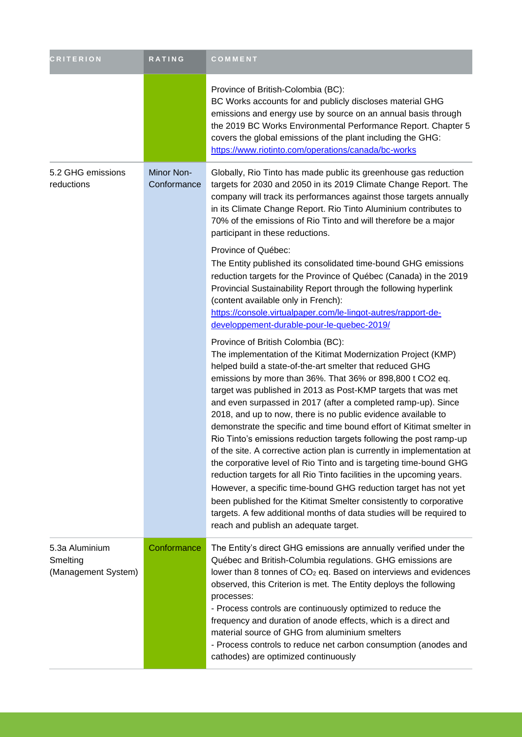| <b>CRITERION</b>                                  | RATING                    | COMMENT                                                                                                                                                                                                                                                                                                                                                                                                                                                                                                                                                                                                                                                                                                                                                                                                                                                                                                                                                                                                                                                                                                         |
|---------------------------------------------------|---------------------------|-----------------------------------------------------------------------------------------------------------------------------------------------------------------------------------------------------------------------------------------------------------------------------------------------------------------------------------------------------------------------------------------------------------------------------------------------------------------------------------------------------------------------------------------------------------------------------------------------------------------------------------------------------------------------------------------------------------------------------------------------------------------------------------------------------------------------------------------------------------------------------------------------------------------------------------------------------------------------------------------------------------------------------------------------------------------------------------------------------------------|
|                                                   |                           | Province of British-Colombia (BC):<br>BC Works accounts for and publicly discloses material GHG<br>emissions and energy use by source on an annual basis through<br>the 2019 BC Works Environmental Performance Report. Chapter 5<br>covers the global emissions of the plant including the GHG:<br>https://www.riotinto.com/operations/canada/bc-works                                                                                                                                                                                                                                                                                                                                                                                                                                                                                                                                                                                                                                                                                                                                                         |
| 5.2 GHG emissions<br>reductions                   | Minor Non-<br>Conformance | Globally, Rio Tinto has made public its greenhouse gas reduction<br>targets for 2030 and 2050 in its 2019 Climate Change Report. The<br>company will track its performances against those targets annually<br>in its Climate Change Report. Rio Tinto Aluminium contributes to<br>70% of the emissions of Rio Tinto and will therefore be a major<br>participant in these reductions.<br>Province of Québec:<br>The Entity published its consolidated time-bound GHG emissions<br>reduction targets for the Province of Québec (Canada) in the 2019<br>Provincial Sustainability Report through the following hyperlink<br>(content available only in French):<br>https://console.virtualpaper.com/le-lingot-autres/rapport-de-                                                                                                                                                                                                                                                                                                                                                                                 |
|                                                   |                           | developpement-durable-pour-le-quebec-2019/<br>Province of British Colombia (BC):<br>The implementation of the Kitimat Modernization Project (KMP)<br>helped build a state-of-the-art smelter that reduced GHG<br>emissions by more than 36%. That 36% or 898,800 t CO2 eq.<br>target was published in 2013 as Post-KMP targets that was met<br>and even surpassed in 2017 (after a completed ramp-up). Since<br>2018, and up to now, there is no public evidence available to<br>demonstrate the specific and time bound effort of Kitimat smelter in<br>Rio Tinto's emissions reduction targets following the post ramp-up<br>of the site. A corrective action plan is currently in implementation at<br>the corporative level of Rio Tinto and is targeting time-bound GHG<br>reduction targets for all Rio Tinto facilities in the upcoming years.<br>However, a specific time-bound GHG reduction target has not yet<br>been published for the Kitimat Smelter consistently to corporative<br>targets. A few additional months of data studies will be required to<br>reach and publish an adequate target. |
| 5.3a Aluminium<br>Smelting<br>(Management System) | Conformance               | The Entity's direct GHG emissions are annually verified under the<br>Québec and British-Columbia regulations. GHG emissions are<br>lower than 8 tonnes of CO <sub>2</sub> eq. Based on interviews and evidences<br>observed, this Criterion is met. The Entity deploys the following<br>processes:<br>- Process controls are continuously optimized to reduce the<br>frequency and duration of anode effects, which is a direct and<br>material source of GHG from aluminium smelters<br>- Process controls to reduce net carbon consumption (anodes and<br>cathodes) are optimized continuously                                                                                                                                                                                                                                                                                                                                                                                                                                                                                                                |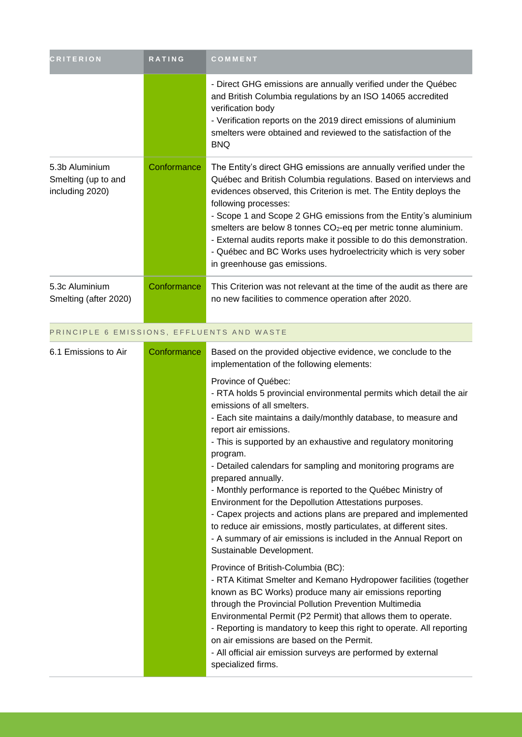| <b>CRITERION</b>                                         | <b>RATING</b>                              | COMMENT                                                                                                                                                                                                                                                                                                                                                                                                                                                                                                                                                                                                                                                                                                                                                                                                                                                                                                                                                                                                                                                                                                                                                                                                                                                                                                                                                                             |  |  |
|----------------------------------------------------------|--------------------------------------------|-------------------------------------------------------------------------------------------------------------------------------------------------------------------------------------------------------------------------------------------------------------------------------------------------------------------------------------------------------------------------------------------------------------------------------------------------------------------------------------------------------------------------------------------------------------------------------------------------------------------------------------------------------------------------------------------------------------------------------------------------------------------------------------------------------------------------------------------------------------------------------------------------------------------------------------------------------------------------------------------------------------------------------------------------------------------------------------------------------------------------------------------------------------------------------------------------------------------------------------------------------------------------------------------------------------------------------------------------------------------------------------|--|--|
|                                                          |                                            | - Direct GHG emissions are annually verified under the Québec<br>and British Columbia regulations by an ISO 14065 accredited<br>verification body<br>- Verification reports on the 2019 direct emissions of aluminium<br>smelters were obtained and reviewed to the satisfaction of the<br><b>BNQ</b>                                                                                                                                                                                                                                                                                                                                                                                                                                                                                                                                                                                                                                                                                                                                                                                                                                                                                                                                                                                                                                                                               |  |  |
| 5.3b Aluminium<br>Smelting (up to and<br>including 2020) | Conformance                                | The Entity's direct GHG emissions are annually verified under the<br>Québec and British Columbia regulations. Based on interviews and<br>evidences observed, this Criterion is met. The Entity deploys the<br>following processes:<br>- Scope 1 and Scope 2 GHG emissions from the Entity's aluminium<br>smelters are below 8 tonnes CO <sub>2</sub> -eq per metric tonne aluminium.<br>- External audits reports make it possible to do this demonstration.<br>- Québec and BC Works uses hydroelectricity which is very sober<br>in greenhouse gas emissions.                                                                                                                                                                                                                                                                                                                                                                                                                                                                                                                                                                                                                                                                                                                                                                                                                     |  |  |
| 5.3c Aluminium<br>Smelting (after 2020)                  | Conformance                                | This Criterion was not relevant at the time of the audit as there are<br>no new facilities to commence operation after 2020.                                                                                                                                                                                                                                                                                                                                                                                                                                                                                                                                                                                                                                                                                                                                                                                                                                                                                                                                                                                                                                                                                                                                                                                                                                                        |  |  |
|                                                          | PRINCIPLE 6 EMISSIONS, EFFLUENTS AND WASTE |                                                                                                                                                                                                                                                                                                                                                                                                                                                                                                                                                                                                                                                                                                                                                                                                                                                                                                                                                                                                                                                                                                                                                                                                                                                                                                                                                                                     |  |  |
| 6.1 Emissions to Air                                     | Conformance                                | Based on the provided objective evidence, we conclude to the<br>implementation of the following elements:<br>Province of Québec:<br>- RTA holds 5 provincial environmental permits which detail the air<br>emissions of all smelters.<br>- Each site maintains a daily/monthly database, to measure and<br>report air emissions.<br>- This is supported by an exhaustive and regulatory monitoring<br>program.<br>- Detailed calendars for sampling and monitoring programs are<br>prepared annually.<br>- Monthly performance is reported to the Québec Ministry of<br>Environment for the Depollution Attestations purposes.<br>- Capex projects and actions plans are prepared and implemented<br>to reduce air emissions, mostly particulates, at different sites.<br>- A summary of air emissions is included in the Annual Report on<br>Sustainable Development.<br>Province of British-Columbia (BC):<br>- RTA Kitimat Smelter and Kemano Hydropower facilities (together<br>known as BC Works) produce many air emissions reporting<br>through the Provincial Pollution Prevention Multimedia<br>Environmental Permit (P2 Permit) that allows them to operate.<br>- Reporting is mandatory to keep this right to operate. All reporting<br>on air emissions are based on the Permit.<br>- All official air emission surveys are performed by external<br>specialized firms. |  |  |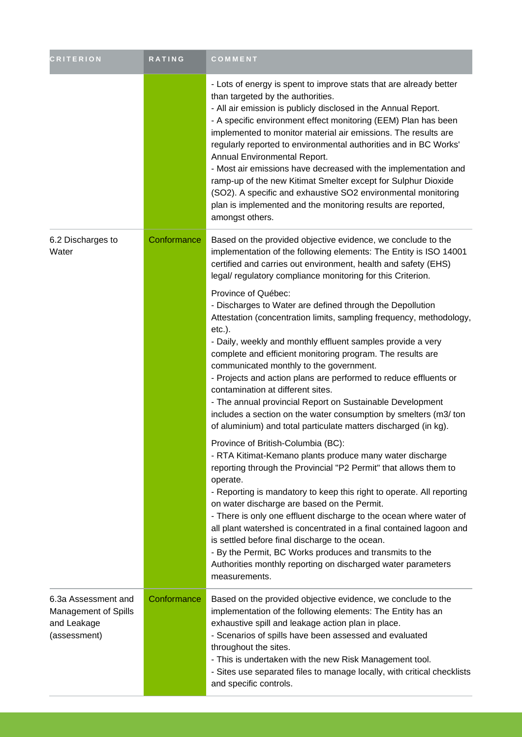| <b>CRITERION</b>                                                                  | <b>RATING</b> | COMMENT                                                                                                                                                                                                                                                                                                                                                                                                                                                                                                                                                                                                                                                                                                   |
|-----------------------------------------------------------------------------------|---------------|-----------------------------------------------------------------------------------------------------------------------------------------------------------------------------------------------------------------------------------------------------------------------------------------------------------------------------------------------------------------------------------------------------------------------------------------------------------------------------------------------------------------------------------------------------------------------------------------------------------------------------------------------------------------------------------------------------------|
|                                                                                   |               | - Lots of energy is spent to improve stats that are already better<br>than targeted by the authorities.<br>- All air emission is publicly disclosed in the Annual Report.<br>- A specific environment effect monitoring (EEM) Plan has been<br>implemented to monitor material air emissions. The results are<br>regularly reported to environmental authorities and in BC Works'<br>Annual Environmental Report.<br>- Most air emissions have decreased with the implementation and<br>ramp-up of the new Kitimat Smelter except for Sulphur Dioxide<br>(SO2). A specific and exhaustive SO2 environmental monitoring<br>plan is implemented and the monitoring results are reported,<br>amongst others. |
| 6.2 Discharges to<br>Water                                                        | Conformance   | Based on the provided objective evidence, we conclude to the<br>implementation of the following elements: The Entity is ISO 14001<br>certified and carries out environment, health and safety (EHS)<br>legal/ regulatory compliance monitoring for this Criterion.                                                                                                                                                                                                                                                                                                                                                                                                                                        |
|                                                                                   |               | Province of Québec:<br>- Discharges to Water are defined through the Depollution<br>Attestation (concentration limits, sampling frequency, methodology,<br>$etc.$ ).<br>- Daily, weekly and monthly effluent samples provide a very<br>complete and efficient monitoring program. The results are<br>communicated monthly to the government.<br>- Projects and action plans are performed to reduce effluents or<br>contamination at different sites.<br>- The annual provincial Report on Sustainable Development<br>includes a section on the water consumption by smelters (m3/ ton<br>of aluminium) and total particulate matters discharged (in kg).                                                 |
|                                                                                   |               | Province of British-Columbia (BC):<br>- RTA Kitimat-Kemano plants produce many water discharge<br>reporting through the Provincial "P2 Permit" that allows them to<br>operate.<br>- Reporting is mandatory to keep this right to operate. All reporting<br>on water discharge are based on the Permit.<br>- There is only one effluent discharge to the ocean where water of<br>all plant watershed is concentrated in a final contained lagoon and<br>is settled before final discharge to the ocean.<br>- By the Permit, BC Works produces and transmits to the<br>Authorities monthly reporting on discharged water parameters<br>measurements.                                                        |
| 6.3a Assessment and<br><b>Management of Spills</b><br>and Leakage<br>(assessment) | Conformance   | Based on the provided objective evidence, we conclude to the<br>implementation of the following elements: The Entity has an<br>exhaustive spill and leakage action plan in place.<br>- Scenarios of spills have been assessed and evaluated<br>throughout the sites.<br>- This is undertaken with the new Risk Management tool.<br>- Sites use separated files to manage locally, with critical checklists<br>and specific controls.                                                                                                                                                                                                                                                                      |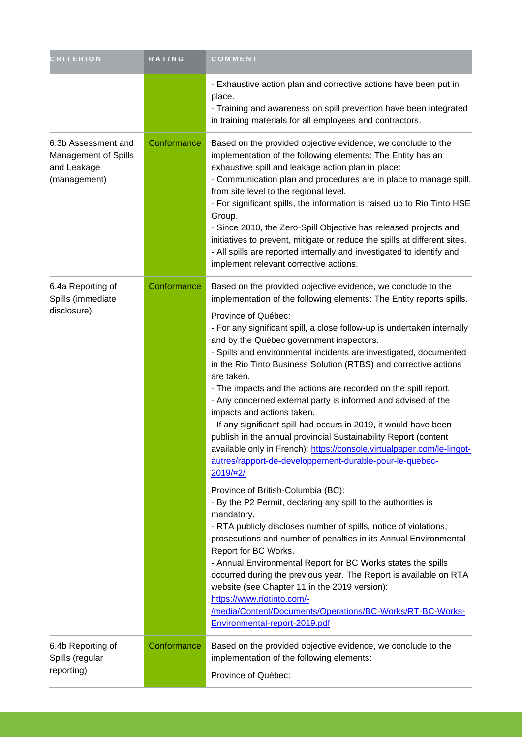| <b>CRITERION</b>                                                                  | RATING      | COMMENT                                                                                                                                                                                                                                                                                                                                                                                                                                                                                                                                                                                                                                                                                                                                                                                                                                                                                                                                                                                                                                                                                                                                                                                                                                                                                                                                                                                                                                                                                                     |
|-----------------------------------------------------------------------------------|-------------|-------------------------------------------------------------------------------------------------------------------------------------------------------------------------------------------------------------------------------------------------------------------------------------------------------------------------------------------------------------------------------------------------------------------------------------------------------------------------------------------------------------------------------------------------------------------------------------------------------------------------------------------------------------------------------------------------------------------------------------------------------------------------------------------------------------------------------------------------------------------------------------------------------------------------------------------------------------------------------------------------------------------------------------------------------------------------------------------------------------------------------------------------------------------------------------------------------------------------------------------------------------------------------------------------------------------------------------------------------------------------------------------------------------------------------------------------------------------------------------------------------------|
|                                                                                   |             | - Exhaustive action plan and corrective actions have been put in<br>place.<br>- Training and awareness on spill prevention have been integrated<br>in training materials for all employees and contractors.                                                                                                                                                                                                                                                                                                                                                                                                                                                                                                                                                                                                                                                                                                                                                                                                                                                                                                                                                                                                                                                                                                                                                                                                                                                                                                 |
| 6.3b Assessment and<br><b>Management of Spills</b><br>and Leakage<br>(management) | Conformance | Based on the provided objective evidence, we conclude to the<br>implementation of the following elements: The Entity has an<br>exhaustive spill and leakage action plan in place:<br>- Communication plan and procedures are in place to manage spill,<br>from site level to the regional level.<br>- For significant spills, the information is raised up to Rio Tinto HSE<br>Group.<br>- Since 2010, the Zero-Spill Objective has released projects and<br>initiatives to prevent, mitigate or reduce the spills at different sites.<br>- All spills are reported internally and investigated to identify and<br>implement relevant corrective actions.                                                                                                                                                                                                                                                                                                                                                                                                                                                                                                                                                                                                                                                                                                                                                                                                                                                   |
| 6.4a Reporting of<br>Spills (immediate<br>disclosure)                             | Conformance | Based on the provided objective evidence, we conclude to the<br>implementation of the following elements: The Entity reports spills.<br>Province of Québec:<br>- For any significant spill, a close follow-up is undertaken internally<br>and by the Québec government inspectors.<br>- Spills and environmental incidents are investigated, documented<br>in the Rio Tinto Business Solution (RTBS) and corrective actions<br>are taken.<br>- The impacts and the actions are recorded on the spill report.<br>- Any concerned external party is informed and advised of the<br>impacts and actions taken.<br>- If any significant spill had occurs in 2019, it would have been<br>publish in the annual provincial Sustainability Report (content<br>available only in French): https://console.virtualpaper.com/le-lingot-<br>autres/rapport-de-developpement-durable-pour-le-quebec-<br>2019/#2/<br>Province of British-Columbia (BC):<br>- By the P2 Permit, declaring any spill to the authorities is<br>mandatory.<br>- RTA publicly discloses number of spills, notice of violations,<br>prosecutions and number of penalties in its Annual Environmental<br>Report for BC Works.<br>- Annual Environmental Report for BC Works states the spills<br>occurred during the previous year. The Report is available on RTA<br>website (see Chapter 11 in the 2019 version):<br>https://www.riotinto.com/-<br>/media/Content/Documents/Operations/BC-Works/RT-BC-Works-<br>Environmental-report-2019.pdf |
| 6.4b Reporting of<br>Spills (regular<br>reporting)                                | Conformance | Based on the provided objective evidence, we conclude to the<br>implementation of the following elements:<br>Province of Québec:                                                                                                                                                                                                                                                                                                                                                                                                                                                                                                                                                                                                                                                                                                                                                                                                                                                                                                                                                                                                                                                                                                                                                                                                                                                                                                                                                                            |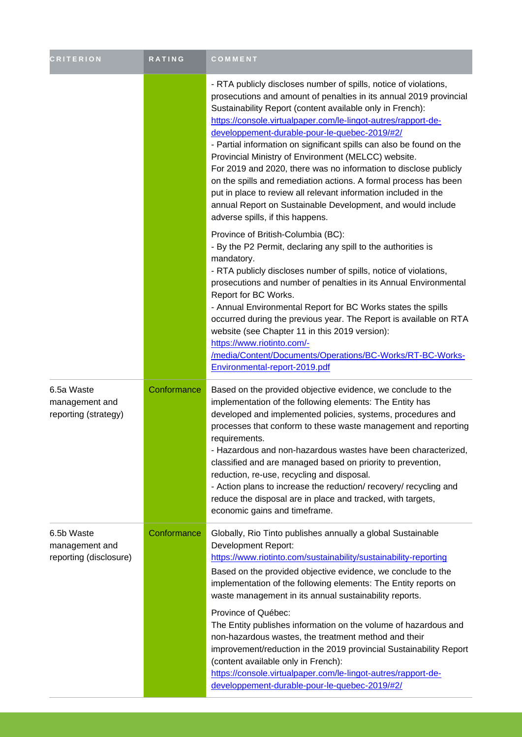| <b>CRITERION</b>                                       | <b>RATING</b> | COMMENT                                                                                                                                                                                                                                                                                                                                                                                                                                                                                                                                                                                                                                                                                                                                                            |
|--------------------------------------------------------|---------------|--------------------------------------------------------------------------------------------------------------------------------------------------------------------------------------------------------------------------------------------------------------------------------------------------------------------------------------------------------------------------------------------------------------------------------------------------------------------------------------------------------------------------------------------------------------------------------------------------------------------------------------------------------------------------------------------------------------------------------------------------------------------|
|                                                        |               | - RTA publicly discloses number of spills, notice of violations,<br>prosecutions and amount of penalties in its annual 2019 provincial<br>Sustainability Report (content available only in French):<br>https://console.virtualpaper.com/le-lingot-autres/rapport-de-<br>developpement-durable-pour-le-quebec-2019/#2/<br>- Partial information on significant spills can also be found on the<br>Provincial Ministry of Environment (MELCC) website.<br>For 2019 and 2020, there was no information to disclose publicly<br>on the spills and remediation actions. A formal process has been<br>put in place to review all relevant information included in the<br>annual Report on Sustainable Development, and would include<br>adverse spills, if this happens. |
|                                                        |               | Province of British-Columbia (BC):<br>- By the P2 Permit, declaring any spill to the authorities is<br>mandatory.<br>- RTA publicly discloses number of spills, notice of violations,<br>prosecutions and number of penalties in its Annual Environmental<br>Report for BC Works.<br>- Annual Environmental Report for BC Works states the spills<br>occurred during the previous year. The Report is available on RTA<br>website (see Chapter 11 in this 2019 version):<br>https://www.riotinto.com/-<br>/media/Content/Documents/Operations/BC-Works/RT-BC-Works-<br>Environmental-report-2019.pdf                                                                                                                                                               |
| 6.5a Waste<br>management and<br>reporting (strategy)   | Conformance   | Based on the provided objective evidence, we conclude to the<br>implementation of the following elements: The Entity has<br>developed and implemented policies, systems, procedures and<br>processes that conform to these waste management and reporting<br>requirements.<br>- Hazardous and non-hazardous wastes have been characterized,<br>classified and are managed based on priority to prevention,<br>reduction, re-use, recycling and disposal.<br>- Action plans to increase the reduction/ recovery/ recycling and<br>reduce the disposal are in place and tracked, with targets,<br>economic gains and timeframe.                                                                                                                                      |
| 6.5b Waste<br>management and<br>reporting (disclosure) | Conformance   | Globally, Rio Tinto publishes annually a global Sustainable<br><b>Development Report:</b><br>https://www.riotinto.com/sustainability/sustainability-reporting<br>Based on the provided objective evidence, we conclude to the<br>implementation of the following elements: The Entity reports on<br>waste management in its annual sustainability reports.<br>Province of Québec:<br>The Entity publishes information on the volume of hazardous and<br>non-hazardous wastes, the treatment method and their<br>improvement/reduction in the 2019 provincial Sustainability Report<br>(content available only in French):<br>https://console.virtualpaper.com/le-lingot-autres/rapport-de-<br>developpement-durable-pour-le-quebec-2019/#2/                        |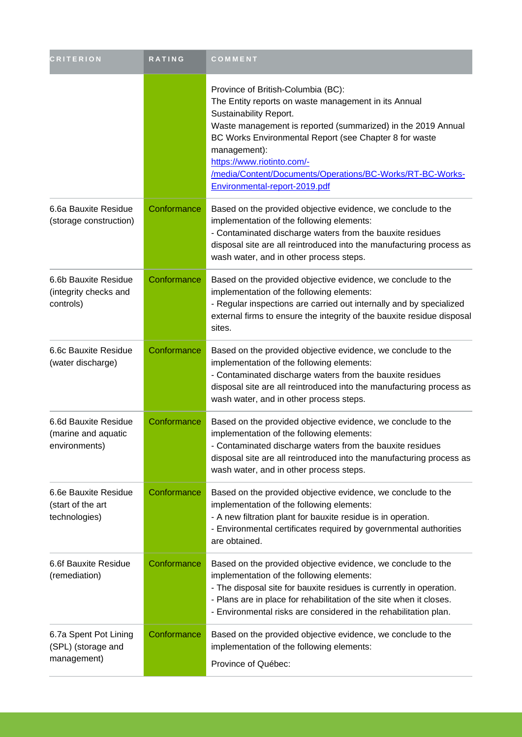| <b>CRITERION</b>                                             | RATING      | COMMENT                                                                                                                                                                                                                                                                                                                                                                                    |
|--------------------------------------------------------------|-------------|--------------------------------------------------------------------------------------------------------------------------------------------------------------------------------------------------------------------------------------------------------------------------------------------------------------------------------------------------------------------------------------------|
|                                                              |             | Province of British-Columbia (BC):<br>The Entity reports on waste management in its Annual<br>Sustainability Report.<br>Waste management is reported (summarized) in the 2019 Annual<br>BC Works Environmental Report (see Chapter 8 for waste<br>management):<br>https://www.riotinto.com/-<br>/media/Content/Documents/Operations/BC-Works/RT-BC-Works-<br>Environmental-report-2019.pdf |
| 6.6a Bauxite Residue<br>(storage construction)               | Conformance | Based on the provided objective evidence, we conclude to the<br>implementation of the following elements:<br>- Contaminated discharge waters from the bauxite residues<br>disposal site are all reintroduced into the manufacturing process as<br>wash water, and in other process steps.                                                                                                  |
| 6.6b Bauxite Residue<br>(integrity checks and<br>controls)   | Conformance | Based on the provided objective evidence, we conclude to the<br>implementation of the following elements:<br>- Regular inspections are carried out internally and by specialized<br>external firms to ensure the integrity of the bauxite residue disposal<br>sites.                                                                                                                       |
| 6.6c Bauxite Residue<br>(water discharge)                    | Conformance | Based on the provided objective evidence, we conclude to the<br>implementation of the following elements:<br>- Contaminated discharge waters from the bauxite residues<br>disposal site are all reintroduced into the manufacturing process as<br>wash water, and in other process steps.                                                                                                  |
| 6.6d Bauxite Residue<br>(marine and aquatic<br>environments) | Conformance | Based on the provided objective evidence, we conclude to the<br>implementation of the following elements:<br>- Contaminated discharge waters from the bauxite residues<br>disposal site are all reintroduced into the manufacturing process as<br>wash water, and in other process steps.                                                                                                  |
| 6.6e Bauxite Residue<br>(start of the art<br>technologies)   | Conformance | Based on the provided objective evidence, we conclude to the<br>implementation of the following elements:<br>- A new filtration plant for bauxite residue is in operation.<br>- Environmental certificates required by governmental authorities<br>are obtained.                                                                                                                           |
| 6.6f Bauxite Residue<br>(remediation)                        | Conformance | Based on the provided objective evidence, we conclude to the<br>implementation of the following elements:<br>- The disposal site for bauxite residues is currently in operation.<br>- Plans are in place for rehabilitation of the site when it closes.<br>- Environmental risks are considered in the rehabilitation plan.                                                                |
| 6.7a Spent Pot Lining<br>(SPL) (storage and<br>management)   | Conformance | Based on the provided objective evidence, we conclude to the<br>implementation of the following elements:<br>Province of Québec:                                                                                                                                                                                                                                                           |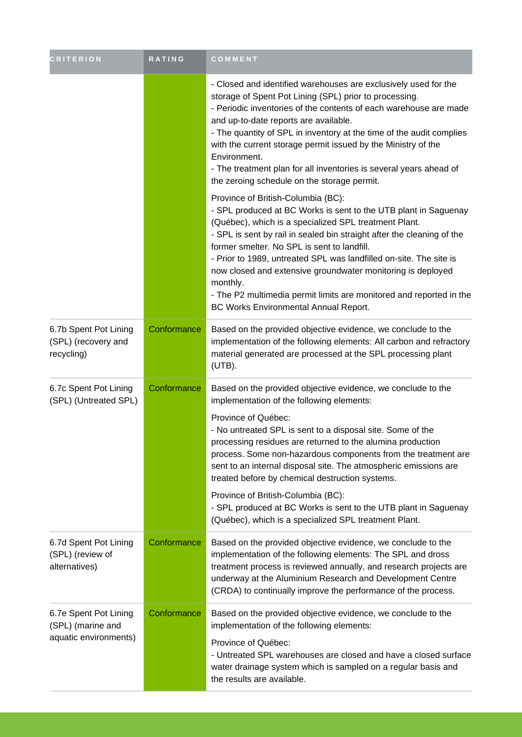| <b>CRITERION</b>                                                    | <b>RATING</b> | COMMENT                                                                                                                                                                                                                                                                                                                                                                                                                                                                                                                                                                                                                |
|---------------------------------------------------------------------|---------------|------------------------------------------------------------------------------------------------------------------------------------------------------------------------------------------------------------------------------------------------------------------------------------------------------------------------------------------------------------------------------------------------------------------------------------------------------------------------------------------------------------------------------------------------------------------------------------------------------------------------|
|                                                                     |               | - Closed and identified warehouses are exclusively used for the<br>storage of Spent Pot Lining (SPL) prior to processing.<br>- Periodic inventories of the contents of each warehouse are made<br>and up-to-date reports are available.<br>- The quantity of SPL in inventory at the time of the audit complies<br>with the current storage permit issued by the Ministry of the<br>Environment.<br>- The treatment plan for all inventories is several years ahead of<br>the zeroing schedule on the storage permit.                                                                                                  |
|                                                                     |               | Province of British-Columbia (BC):<br>- SPL produced at BC Works is sent to the UTB plant in Saguenay<br>(Québec), which is a specialized SPL treatment Plant.<br>- SPL is sent by rail in sealed bin straight after the cleaning of the<br>former smelter. No SPL is sent to landfill.<br>- Prior to 1989, untreated SPL was landfilled on-site. The site is<br>now closed and extensive groundwater monitoring is deployed<br>monthly.<br>- The P2 multimedia permit limits are monitored and reported in the<br>BC Works Environmental Annual Report.                                                               |
| 6.7b Spent Pot Lining<br>(SPL) (recovery and<br>recycling)          | Conformance   | Based on the provided objective evidence, we conclude to the<br>implementation of the following elements: All carbon and refractory<br>material generated are processed at the SPL processing plant<br>(UTB).                                                                                                                                                                                                                                                                                                                                                                                                          |
| 6.7c Spent Pot Lining<br>(SPL) (Untreated SPL)                      | Conformance   | Based on the provided objective evidence, we conclude to the<br>implementation of the following elements:<br>Province of Québec:<br>- No untreated SPL is sent to a disposal site. Some of the<br>processing residues are returned to the alumina production<br>process. Some non-hazardous components from the treatment are<br>sent to an internal disposal site. The atmospheric emissions are<br>treated before by chemical destruction systems.<br>Province of British-Columbia (BC):<br>- SPL produced at BC Works is sent to the UTB plant in Saguenay<br>(Québec), which is a specialized SPL treatment Plant. |
| 6.7d Spent Pot Lining<br>(SPL) (review of<br>alternatives)          | Conformance   | Based on the provided objective evidence, we conclude to the<br>implementation of the following elements: The SPL and dross<br>treatment process is reviewed annually, and research projects are<br>underway at the Aluminium Research and Development Centre<br>(CRDA) to continually improve the performance of the process.                                                                                                                                                                                                                                                                                         |
| 6.7e Spent Pot Lining<br>(SPL) (marine and<br>aquatic environments) | Conformance   | Based on the provided objective evidence, we conclude to the<br>implementation of the following elements:<br>Province of Québec:<br>- Untreated SPL warehouses are closed and have a closed surface<br>water drainage system which is sampled on a regular basis and<br>the results are available.                                                                                                                                                                                                                                                                                                                     |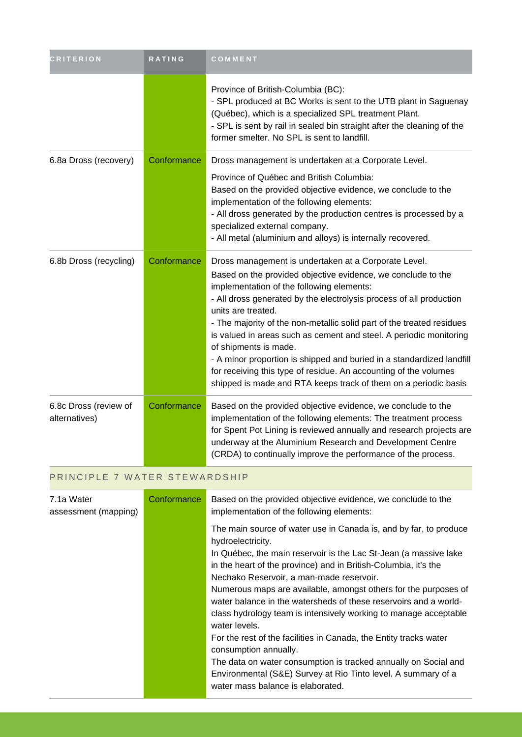| <b>CRITERION</b>                       | <b>RATING</b> | COMMENT                                                                                                                                                                                                                                                                                                                                                                                                                                                                                                                                                                                                                                                |
|----------------------------------------|---------------|--------------------------------------------------------------------------------------------------------------------------------------------------------------------------------------------------------------------------------------------------------------------------------------------------------------------------------------------------------------------------------------------------------------------------------------------------------------------------------------------------------------------------------------------------------------------------------------------------------------------------------------------------------|
|                                        |               | Province of British-Columbia (BC):<br>- SPL produced at BC Works is sent to the UTB plant in Saguenay<br>(Québec), which is a specialized SPL treatment Plant.<br>- SPL is sent by rail in sealed bin straight after the cleaning of the<br>former smelter. No SPL is sent to landfill.                                                                                                                                                                                                                                                                                                                                                                |
| 6.8a Dross (recovery)                  | Conformance   | Dross management is undertaken at a Corporate Level.<br>Province of Québec and British Columbia:<br>Based on the provided objective evidence, we conclude to the<br>implementation of the following elements:<br>- All dross generated by the production centres is processed by a<br>specialized external company.<br>- All metal (aluminium and alloys) is internally recovered.                                                                                                                                                                                                                                                                     |
| 6.8b Dross (recycling)                 | Conformance   | Dross management is undertaken at a Corporate Level.<br>Based on the provided objective evidence, we conclude to the<br>implementation of the following elements:<br>- All dross generated by the electrolysis process of all production<br>units are treated.<br>- The majority of the non-metallic solid part of the treated residues<br>is valued in areas such as cement and steel. A periodic monitoring<br>of shipments is made.<br>- A minor proportion is shipped and buried in a standardized landfill<br>for receiving this type of residue. An accounting of the volumes<br>shipped is made and RTA keeps track of them on a periodic basis |
| 6.8c Dross (review of<br>alternatives) | Conformance   | Based on the provided objective evidence, we conclude to the<br>implementation of the following elements: The treatment process<br>for Spent Pot Lining is reviewed annually and research projects are<br>underway at the Aluminium Research and Development Centre<br>(CRDA) to continually improve the performance of the process.                                                                                                                                                                                                                                                                                                                   |
| PRINCIPLE 7 WATER STEWARDSHIP          |               |                                                                                                                                                                                                                                                                                                                                                                                                                                                                                                                                                                                                                                                        |

| 7.1a Water<br>assessment (mapping) | Conformance | Based on the provided objective evidence, we conclude to the<br>implementation of the following elements:                                                                                                                                                                                                                                                                                                                                                                                                                                                                                                                                                                                                                                                                    |
|------------------------------------|-------------|------------------------------------------------------------------------------------------------------------------------------------------------------------------------------------------------------------------------------------------------------------------------------------------------------------------------------------------------------------------------------------------------------------------------------------------------------------------------------------------------------------------------------------------------------------------------------------------------------------------------------------------------------------------------------------------------------------------------------------------------------------------------------|
|                                    |             | The main source of water use in Canada is, and by far, to produce<br>hydroelectricity.<br>In Québec, the main reservoir is the Lac St-Jean (a massive lake<br>in the heart of the province) and in British-Columbia, it's the<br>Nechako Reservoir, a man-made reservoir.<br>Numerous maps are available, amongst others for the purposes of<br>water balance in the watersheds of these reservoirs and a world-<br>class hydrology team is intensively working to manage acceptable<br>water levels.<br>For the rest of the facilities in Canada, the Entity tracks water<br>consumption annually.<br>The data on water consumption is tracked annually on Social and<br>Environmental (S&E) Survey at Rio Tinto level. A summary of a<br>water mass balance is elaborated. |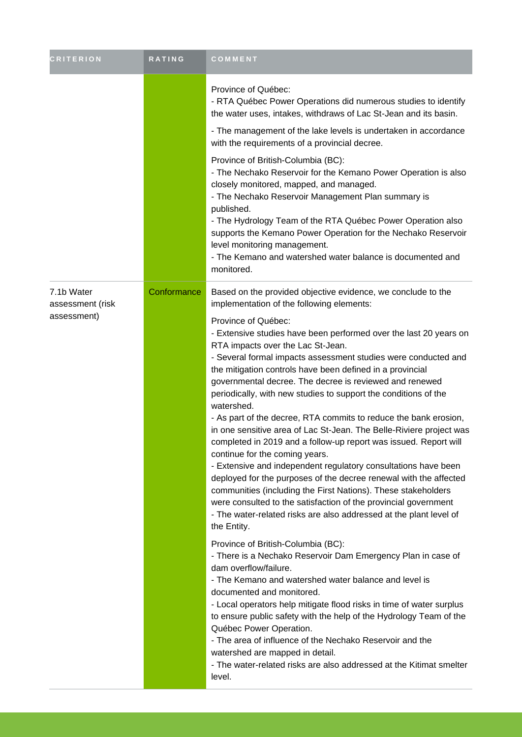| <b>CRITERION</b>                              | <b>RATING</b> | COMMENT                                                                                                                                                                                                                                                                                                                                                                                                                                                                                                                                                                                                                                                                                                                                                                                                                                                                                                                                                                                                                                                                                                                                                                                                                                                                                                                                                                                                                                                                                                                                                                                                                                                                                                              |
|-----------------------------------------------|---------------|----------------------------------------------------------------------------------------------------------------------------------------------------------------------------------------------------------------------------------------------------------------------------------------------------------------------------------------------------------------------------------------------------------------------------------------------------------------------------------------------------------------------------------------------------------------------------------------------------------------------------------------------------------------------------------------------------------------------------------------------------------------------------------------------------------------------------------------------------------------------------------------------------------------------------------------------------------------------------------------------------------------------------------------------------------------------------------------------------------------------------------------------------------------------------------------------------------------------------------------------------------------------------------------------------------------------------------------------------------------------------------------------------------------------------------------------------------------------------------------------------------------------------------------------------------------------------------------------------------------------------------------------------------------------------------------------------------------------|
|                                               |               | Province of Québec:<br>- RTA Québec Power Operations did numerous studies to identify<br>the water uses, intakes, withdraws of Lac St-Jean and its basin.<br>- The management of the lake levels is undertaken in accordance<br>with the requirements of a provincial decree.                                                                                                                                                                                                                                                                                                                                                                                                                                                                                                                                                                                                                                                                                                                                                                                                                                                                                                                                                                                                                                                                                                                                                                                                                                                                                                                                                                                                                                        |
|                                               |               | Province of British-Columbia (BC):<br>- The Nechako Reservoir for the Kemano Power Operation is also<br>closely monitored, mapped, and managed.<br>- The Nechako Reservoir Management Plan summary is<br>published.<br>- The Hydrology Team of the RTA Québec Power Operation also<br>supports the Kemano Power Operation for the Nechako Reservoir<br>level monitoring management.<br>- The Kemano and watershed water balance is documented and<br>monitored.                                                                                                                                                                                                                                                                                                                                                                                                                                                                                                                                                                                                                                                                                                                                                                                                                                                                                                                                                                                                                                                                                                                                                                                                                                                      |
| 7.1b Water<br>assessment (risk<br>assessment) | Conformance   | Based on the provided objective evidence, we conclude to the<br>implementation of the following elements:<br>Province of Québec:<br>- Extensive studies have been performed over the last 20 years on<br>RTA impacts over the Lac St-Jean.<br>- Several formal impacts assessment studies were conducted and<br>the mitigation controls have been defined in a provincial<br>governmental decree. The decree is reviewed and renewed<br>periodically, with new studies to support the conditions of the<br>watershed.<br>- As part of the decree, RTA commits to reduce the bank erosion,<br>in one sensitive area of Lac St-Jean. The Belle-Riviere project was<br>completed in 2019 and a follow-up report was issued. Report will<br>continue for the coming years.<br>- Extensive and independent regulatory consultations have been<br>deployed for the purposes of the decree renewal with the affected<br>communities (including the First Nations). These stakeholders<br>were consulted to the satisfaction of the provincial government<br>- The water-related risks are also addressed at the plant level of<br>the Entity.<br>Province of British-Columbia (BC):<br>- There is a Nechako Reservoir Dam Emergency Plan in case of<br>dam overflow/failure.<br>- The Kemano and watershed water balance and level is<br>documented and monitored.<br>- Local operators help mitigate flood risks in time of water surplus<br>to ensure public safety with the help of the Hydrology Team of the<br>Québec Power Operation.<br>- The area of influence of the Nechako Reservoir and the<br>watershed are mapped in detail.<br>- The water-related risks are also addressed at the Kitimat smelter<br>level. |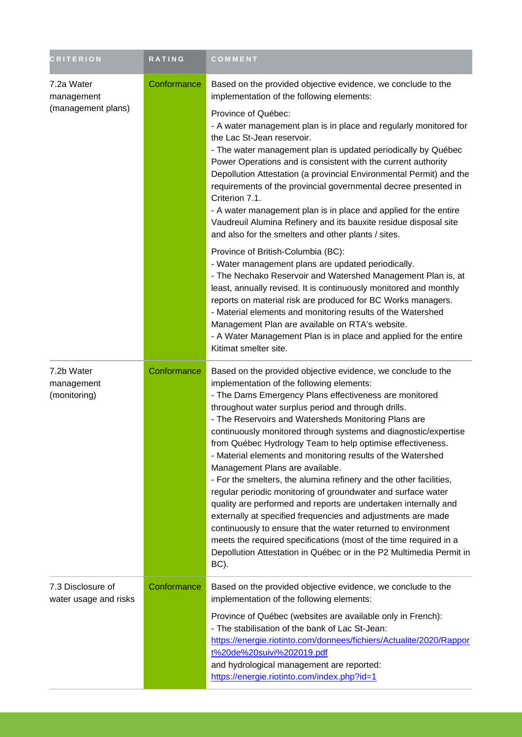| <b>CRITERION</b>                               | RATING      | COMMENT                                                                                                                                                                                                                                                                                                                                                                                                                                                                                                                                                                                                                                                                                                                                                                                                                                                                                                                                                                                                             |
|------------------------------------------------|-------------|---------------------------------------------------------------------------------------------------------------------------------------------------------------------------------------------------------------------------------------------------------------------------------------------------------------------------------------------------------------------------------------------------------------------------------------------------------------------------------------------------------------------------------------------------------------------------------------------------------------------------------------------------------------------------------------------------------------------------------------------------------------------------------------------------------------------------------------------------------------------------------------------------------------------------------------------------------------------------------------------------------------------|
| 7.2a Water<br>management<br>(management plans) | Conformance | Based on the provided objective evidence, we conclude to the<br>implementation of the following elements:<br>Province of Québec:<br>- A water management plan is in place and regularly monitored for<br>the Lac St-Jean reservoir.<br>- The water management plan is updated periodically by Québec<br>Power Operations and is consistent with the current authority<br>Depollution Attestation (a provincial Environmental Permit) and the<br>requirements of the provincial governmental decree presented in<br>Criterion 7.1.<br>- A water management plan is in place and applied for the entire<br>Vaudreuil Alumina Refinery and its bauxite residue disposal site<br>and also for the smelters and other plants / sites.                                                                                                                                                                                                                                                                                    |
|                                                |             | Province of British-Columbia (BC):<br>- Water management plans are updated periodically.<br>- The Nechako Reservoir and Watershed Management Plan is, at<br>least, annually revised. It is continuously monitored and monthly<br>reports on material risk are produced for BC Works managers.<br>- Material elements and monitoring results of the Watershed<br>Management Plan are available on RTA's website.<br>- A Water Management Plan is in place and applied for the entire<br>Kitimat smelter site.                                                                                                                                                                                                                                                                                                                                                                                                                                                                                                        |
| 7.2b Water<br>management<br>(monitoring)       | Conformance | Based on the provided objective evidence, we conclude to the<br>implementation of the following elements:<br>- The Dams Emergency Plans effectiveness are monitored<br>throughout water surplus period and through drills.<br>- The Reservoirs and Watersheds Monitoring Plans are<br>continuously monitored through systems and diagnostic/expertise<br>from Québec Hydrology Team to help optimise effectiveness.<br>- Material elements and monitoring results of the Watershed<br>Management Plans are available.<br>- For the smelters, the alumina refinery and the other facilities,<br>regular periodic monitoring of groundwater and surface water<br>quality are performed and reports are undertaken internally and<br>externally at specified frequencies and adjustments are made<br>continuously to ensure that the water returned to environment<br>meets the required specifications (most of the time required in a<br>Depollution Attestation in Québec or in the P2 Multimedia Permit in<br>BC). |
| 7.3 Disclosure of<br>water usage and risks     | Conformance | Based on the provided objective evidence, we conclude to the<br>implementation of the following elements:<br>Province of Québec (websites are available only in French):<br>- The stabilisation of the bank of Lac St-Jean:<br>https://energie.riotinto.com/donnees/fichiers/Actualite/2020/Rappor<br>t%20de%20suivi%202019.pdf<br>and hydrological management are reported:<br>https://energie.riotinto.com/index.php?id=1                                                                                                                                                                                                                                                                                                                                                                                                                                                                                                                                                                                         |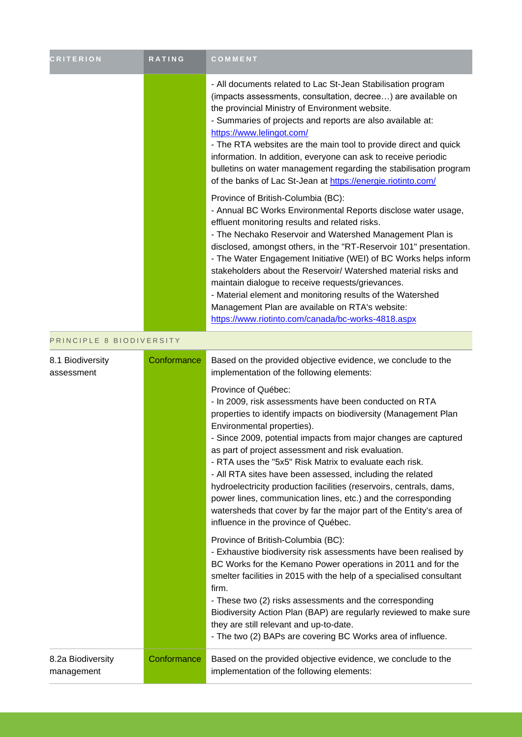| <b>CRITERION</b>               | <b>RATING</b> | COMMENT                                                                                                                                                                                                                                                                                                                                                                                                                                                                                                                                                                                                                                                   |
|--------------------------------|---------------|-----------------------------------------------------------------------------------------------------------------------------------------------------------------------------------------------------------------------------------------------------------------------------------------------------------------------------------------------------------------------------------------------------------------------------------------------------------------------------------------------------------------------------------------------------------------------------------------------------------------------------------------------------------|
|                                |               | - All documents related to Lac St-Jean Stabilisation program<br>(impacts assessments, consultation, decree) are available on<br>the provincial Ministry of Environment website.<br>- Summaries of projects and reports are also available at:<br>https://www.lelingot.com/<br>- The RTA websites are the main tool to provide direct and quick<br>information. In addition, everyone can ask to receive periodic<br>bulletins on water management regarding the stabilisation program<br>of the banks of Lac St-Jean at https://energie.riotinto.com/                                                                                                     |
|                                |               | Province of British-Columbia (BC):<br>- Annual BC Works Environmental Reports disclose water usage,<br>effluent monitoring results and related risks.<br>- The Nechako Reservoir and Watershed Management Plan is<br>disclosed, amongst others, in the "RT-Reservoir 101" presentation.<br>- The Water Engagement Initiative (WEI) of BC Works helps inform<br>stakeholders about the Reservoir/ Watershed material risks and<br>maintain dialogue to receive requests/grievances.<br>- Material element and monitoring results of the Watershed<br>Management Plan are available on RTA's website:<br>https://www.riotinto.com/canada/bc-works-4818.aspx |
| PRINCIPLE 8 BIODIVERSITY       |               |                                                                                                                                                                                                                                                                                                                                                                                                                                                                                                                                                                                                                                                           |
| 8.1 Biodiversity<br>assessment | Conformance   | Based on the provided objective evidence, we conclude to the<br>implementation of the following elements:                                                                                                                                                                                                                                                                                                                                                                                                                                                                                                                                                 |

| Province of Québec:<br>- In 2009, risk assessments have been conducted on RTA<br>properties to identify impacts on biodiversity (Management Plan<br>Environmental properties).<br>- Since 2009, potential impacts from major changes are captured<br>as part of project assessment and risk evaluation.<br>- RTA uses the "5x5" Risk Matrix to evaluate each risk.<br>- All RTA sites have been assessed, including the related<br>hydroelectricity production facilities (reservoirs, centrals, dams,<br>power lines, communication lines, etc.) and the corresponding<br>watersheds that cover by far the major part of the Entity's area of<br>influence in the province of Québec.<br>Province of British-Columbia (BC): |  |
|------------------------------------------------------------------------------------------------------------------------------------------------------------------------------------------------------------------------------------------------------------------------------------------------------------------------------------------------------------------------------------------------------------------------------------------------------------------------------------------------------------------------------------------------------------------------------------------------------------------------------------------------------------------------------------------------------------------------------|--|
|                                                                                                                                                                                                                                                                                                                                                                                                                                                                                                                                                                                                                                                                                                                              |  |
| - Exhaustive biodiversity risk assessments have been realised by<br>BC Works for the Kemano Power operations in 2011 and for the<br>smelter facilities in 2015 with the help of a specialised consultant<br>firm.<br>- These two (2) risks assessments and the corresponding<br>Biodiversity Action Plan (BAP) are regularly reviewed to make sure<br>they are still relevant and up-to-date.<br>- The two (2) BAPs are covering BC Works area of influence.                                                                                                                                                                                                                                                                 |  |
| Conformance<br>Based on the provided objective evidence, we conclude to the<br>8.2a Biodiversity<br>implementation of the following elements:<br>management                                                                                                                                                                                                                                                                                                                                                                                                                                                                                                                                                                  |  |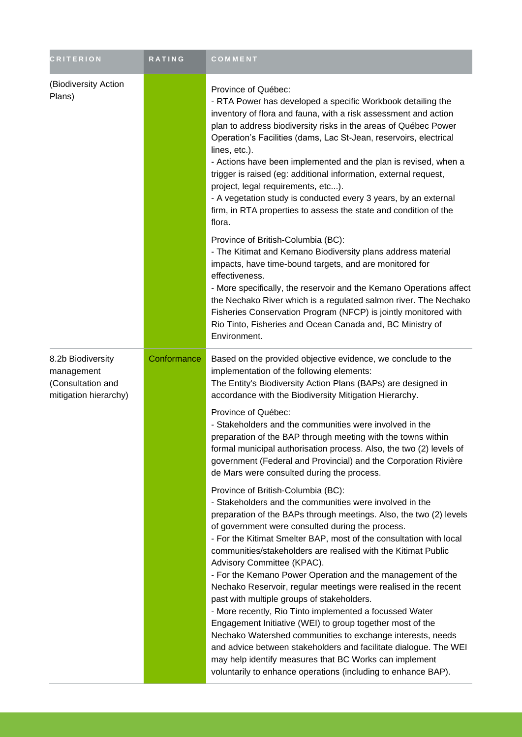| <b>CRITERION</b>                                                              | <b>RATING</b> | <b>COMMENT</b>                                                                                                                                                                                                                                                                                                                                                                                                                                                                                                                                                                                                                                                                                                                                                                                                                                                                                                                                                                                                                                                                                                                                                                                                                                                                                                                                                                                                                                                                                                                                     |
|-------------------------------------------------------------------------------|---------------|----------------------------------------------------------------------------------------------------------------------------------------------------------------------------------------------------------------------------------------------------------------------------------------------------------------------------------------------------------------------------------------------------------------------------------------------------------------------------------------------------------------------------------------------------------------------------------------------------------------------------------------------------------------------------------------------------------------------------------------------------------------------------------------------------------------------------------------------------------------------------------------------------------------------------------------------------------------------------------------------------------------------------------------------------------------------------------------------------------------------------------------------------------------------------------------------------------------------------------------------------------------------------------------------------------------------------------------------------------------------------------------------------------------------------------------------------------------------------------------------------------------------------------------------------|
| (Biodiversity Action<br>Plans)                                                |               | Province of Québec:<br>- RTA Power has developed a specific Workbook detailing the<br>inventory of flora and fauna, with a risk assessment and action<br>plan to address biodiversity risks in the areas of Québec Power<br>Operation's Facilities (dams, Lac St-Jean, reservoirs, electrical<br>lines, etc.).<br>- Actions have been implemented and the plan is revised, when a<br>trigger is raised (eg: additional information, external request,<br>project, legal requirements, etc).<br>- A vegetation study is conducted every 3 years, by an external<br>firm, in RTA properties to assess the state and condition of the<br>flora.<br>Province of British-Columbia (BC):<br>- The Kitimat and Kemano Biodiversity plans address material<br>impacts, have time-bound targets, and are monitored for<br>effectiveness.<br>- More specifically, the reservoir and the Kemano Operations affect<br>the Nechako River which is a regulated salmon river. The Nechako<br>Fisheries Conservation Program (NFCP) is jointly monitored with<br>Rio Tinto, Fisheries and Ocean Canada and, BC Ministry of<br>Environment.                                                                                                                                                                                                                                                                                                                                                                                                                         |
| 8.2b Biodiversity<br>management<br>(Consultation and<br>mitigation hierarchy) | Conformance   | Based on the provided objective evidence, we conclude to the<br>implementation of the following elements:<br>The Entity's Biodiversity Action Plans (BAPs) are designed in<br>accordance with the Biodiversity Mitigation Hierarchy.<br>Province of Québec:<br>- Stakeholders and the communities were involved in the<br>preparation of the BAP through meeting with the towns within<br>formal municipal authorisation process. Also, the two (2) levels of<br>government (Federal and Provincial) and the Corporation Rivière<br>de Mars were consulted during the process.<br>Province of British-Columbia (BC):<br>- Stakeholders and the communities were involved in the<br>preparation of the BAPs through meetings. Also, the two (2) levels<br>of government were consulted during the process.<br>- For the Kitimat Smelter BAP, most of the consultation with local<br>communities/stakeholders are realised with the Kitimat Public<br>Advisory Committee (KPAC).<br>- For the Kemano Power Operation and the management of the<br>Nechako Reservoir, regular meetings were realised in the recent<br>past with multiple groups of stakeholders.<br>- More recently, Rio Tinto implemented a focussed Water<br>Engagement Initiative (WEI) to group together most of the<br>Nechako Watershed communities to exchange interests, needs<br>and advice between stakeholders and facilitate dialogue. The WEI<br>may help identify measures that BC Works can implement<br>voluntarily to enhance operations (including to enhance BAP). |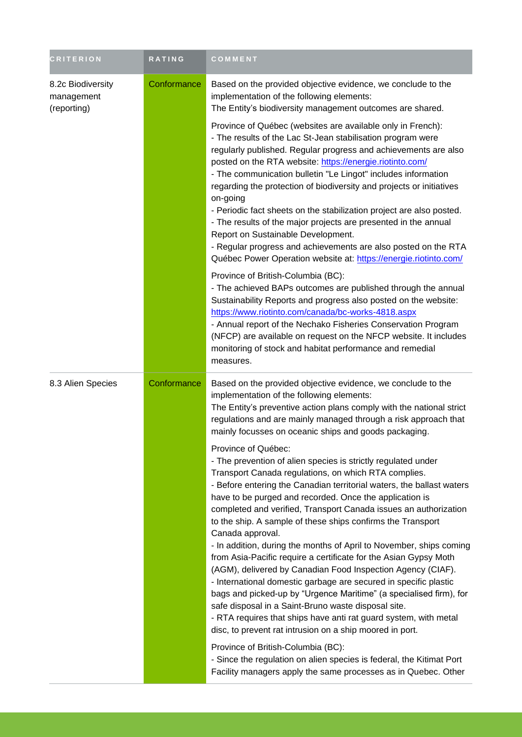| <b>CRITERION</b>                               | <b>RATING</b> | COMMENT                                                                                                                                                                                                                                                                                                                                                                                                                                                                                                                                                                                                                                                                                                                                                                                                                                                                                                                                                                            |
|------------------------------------------------|---------------|------------------------------------------------------------------------------------------------------------------------------------------------------------------------------------------------------------------------------------------------------------------------------------------------------------------------------------------------------------------------------------------------------------------------------------------------------------------------------------------------------------------------------------------------------------------------------------------------------------------------------------------------------------------------------------------------------------------------------------------------------------------------------------------------------------------------------------------------------------------------------------------------------------------------------------------------------------------------------------|
| 8.2c Biodiversity<br>management<br>(reporting) | Conformance   | Based on the provided objective evidence, we conclude to the<br>implementation of the following elements:<br>The Entity's biodiversity management outcomes are shared.                                                                                                                                                                                                                                                                                                                                                                                                                                                                                                                                                                                                                                                                                                                                                                                                             |
|                                                |               | Province of Québec (websites are available only in French):<br>- The results of the Lac St-Jean stabilisation program were<br>regularly published. Regular progress and achievements are also<br>posted on the RTA website: https://energie.riotinto.com/<br>- The communication bulletin "Le Lingot" includes information<br>regarding the protection of biodiversity and projects or initiatives<br>on-going<br>- Periodic fact sheets on the stabilization project are also posted.<br>- The results of the major projects are presented in the annual<br>Report on Sustainable Development.<br>- Regular progress and achievements are also posted on the RTA<br>Québec Power Operation website at: https://energie.riotinto.com/                                                                                                                                                                                                                                              |
|                                                |               | Province of British-Columbia (BC):<br>- The achieved BAPs outcomes are published through the annual<br>Sustainability Reports and progress also posted on the website:<br>https://www.riotinto.com/canada/bc-works-4818.aspx<br>- Annual report of the Nechako Fisheries Conservation Program<br>(NFCP) are available on request on the NFCP website. It includes<br>monitoring of stock and habitat performance and remedial<br>measures.                                                                                                                                                                                                                                                                                                                                                                                                                                                                                                                                         |
| 8.3 Alien Species                              | Conformance   | Based on the provided objective evidence, we conclude to the<br>implementation of the following elements:<br>The Entity's preventive action plans comply with the national strict<br>regulations and are mainly managed through a risk approach that<br>mainly focusses on oceanic ships and goods packaging.                                                                                                                                                                                                                                                                                                                                                                                                                                                                                                                                                                                                                                                                      |
|                                                |               | Province of Québec:<br>- The prevention of alien species is strictly regulated under<br>Transport Canada regulations, on which RTA complies.<br>- Before entering the Canadian territorial waters, the ballast waters<br>have to be purged and recorded. Once the application is<br>completed and verified, Transport Canada issues an authorization<br>to the ship. A sample of these ships confirms the Transport<br>Canada approval.<br>- In addition, during the months of April to November, ships coming<br>from Asia-Pacific require a certificate for the Asian Gypsy Moth<br>(AGM), delivered by Canadian Food Inspection Agency (CIAF).<br>- International domestic garbage are secured in specific plastic<br>bags and picked-up by "Urgence Maritime" (a specialised firm), for<br>safe disposal in a Saint-Bruno waste disposal site.<br>- RTA requires that ships have anti rat guard system, with metal<br>disc, to prevent rat intrusion on a ship moored in port. |
|                                                |               | Province of British-Columbia (BC):<br>- Since the regulation on alien species is federal, the Kitimat Port<br>Facility managers apply the same processes as in Quebec. Other                                                                                                                                                                                                                                                                                                                                                                                                                                                                                                                                                                                                                                                                                                                                                                                                       |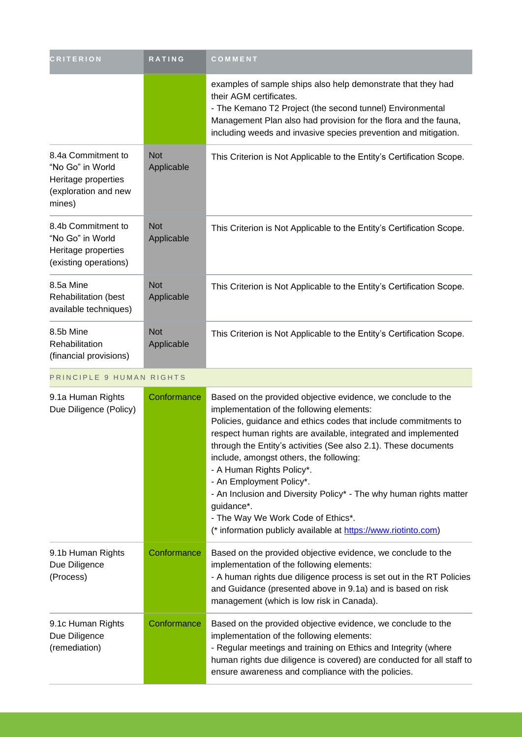| <b>CRITERION</b>                                                                                | <b>RATING</b>            | COMMENT                                                                                                                                                                                                                                                                                    |
|-------------------------------------------------------------------------------------------------|--------------------------|--------------------------------------------------------------------------------------------------------------------------------------------------------------------------------------------------------------------------------------------------------------------------------------------|
|                                                                                                 |                          | examples of sample ships also help demonstrate that they had<br>their AGM certificates.<br>- The Kemano T2 Project (the second tunnel) Environmental<br>Management Plan also had provision for the flora and the fauna,<br>including weeds and invasive species prevention and mitigation. |
| 8.4a Commitment to<br>"No Go" in World<br>Heritage properties<br>(exploration and new<br>mines) | <b>Not</b><br>Applicable | This Criterion is Not Applicable to the Entity's Certification Scope.                                                                                                                                                                                                                      |
| 8.4b Commitment to<br>"No Go" in World<br>Heritage properties<br>(existing operations)          | <b>Not</b><br>Applicable | This Criterion is Not Applicable to the Entity's Certification Scope.                                                                                                                                                                                                                      |
| 8.5a Mine<br>Rehabilitation (best<br>available techniques)                                      | <b>Not</b><br>Applicable | This Criterion is Not Applicable to the Entity's Certification Scope.                                                                                                                                                                                                                      |
| 8.5b Mine<br><b>Rehabilitation</b><br>(financial provisions)                                    | <b>Not</b><br>Applicable | This Criterion is Not Applicable to the Entity's Certification Scope.                                                                                                                                                                                                                      |

### PRINCIPLE 9 HUMAN RIGHTS

| 9.1a Human Rights<br>Due Diligence (Policy)         | Conformance | Based on the provided objective evidence, we conclude to the<br>implementation of the following elements:<br>Policies, guidance and ethics codes that include commitments to<br>respect human rights are available, integrated and implemented<br>through the Entity's activities (See also 2.1). These documents<br>include, amongst others, the following:<br>- A Human Rights Policy*.<br>- An Employment Policy*.<br>- An Inclusion and Diversity Policy* - The why human rights matter<br>guidance*.<br>- The Way We Work Code of Ethics*.<br>(* information publicly available at https://www.riotinto.com) |
|-----------------------------------------------------|-------------|-------------------------------------------------------------------------------------------------------------------------------------------------------------------------------------------------------------------------------------------------------------------------------------------------------------------------------------------------------------------------------------------------------------------------------------------------------------------------------------------------------------------------------------------------------------------------------------------------------------------|
| 9.1b Human Rights<br>Due Diligence<br>(Process)     | Conformance | Based on the provided objective evidence, we conclude to the<br>implementation of the following elements:<br>- A human rights due diligence process is set out in the RT Policies<br>and Guidance (presented above in 9.1a) and is based on risk<br>management (which is low risk in Canada).                                                                                                                                                                                                                                                                                                                     |
| 9.1c Human Rights<br>Due Diligence<br>(remediation) | Conformance | Based on the provided objective evidence, we conclude to the<br>implementation of the following elements:<br>- Regular meetings and training on Ethics and Integrity (where<br>human rights due diligence is covered) are conducted for all staff to<br>ensure awareness and compliance with the policies.                                                                                                                                                                                                                                                                                                        |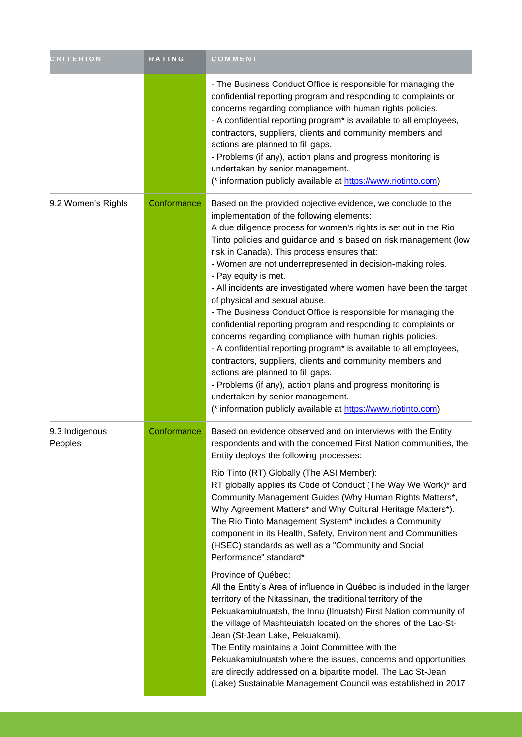| <b>CRITERION</b>          | RATING      | COMMENT                                                                                                                                                                                                                                                                                                                                                                                                                                                                                                                                                                                                                                                                                                                                                                                                                                                                                                                                                                                                                                                                                                                                                                                                                           |
|---------------------------|-------------|-----------------------------------------------------------------------------------------------------------------------------------------------------------------------------------------------------------------------------------------------------------------------------------------------------------------------------------------------------------------------------------------------------------------------------------------------------------------------------------------------------------------------------------------------------------------------------------------------------------------------------------------------------------------------------------------------------------------------------------------------------------------------------------------------------------------------------------------------------------------------------------------------------------------------------------------------------------------------------------------------------------------------------------------------------------------------------------------------------------------------------------------------------------------------------------------------------------------------------------|
|                           |             | - The Business Conduct Office is responsible for managing the<br>confidential reporting program and responding to complaints or<br>concerns regarding compliance with human rights policies.<br>- A confidential reporting program* is available to all employees,<br>contractors, suppliers, clients and community members and<br>actions are planned to fill gaps.<br>- Problems (if any), action plans and progress monitoring is<br>undertaken by senior management.<br>(* information publicly available at https://www.riotinto.com)                                                                                                                                                                                                                                                                                                                                                                                                                                                                                                                                                                                                                                                                                        |
| 9.2 Women's Rights        | Conformance | Based on the provided objective evidence, we conclude to the<br>implementation of the following elements:<br>A due diligence process for women's rights is set out in the Rio<br>Tinto policies and guidance and is based on risk management (low<br>risk in Canada). This process ensures that:<br>- Women are not underrepresented in decision-making roles.<br>- Pay equity is met.<br>- All incidents are investigated where women have been the target<br>of physical and sexual abuse.<br>- The Business Conduct Office is responsible for managing the<br>confidential reporting program and responding to complaints or<br>concerns regarding compliance with human rights policies.<br>- A confidential reporting program* is available to all employees,<br>contractors, suppliers, clients and community members and<br>actions are planned to fill gaps.<br>- Problems (if any), action plans and progress monitoring is<br>undertaken by senior management.<br>(* information publicly available at https://www.riotinto.com)                                                                                                                                                                                        |
| 9.3 Indigenous<br>Peoples | Conformance | Based on evidence observed and on interviews with the Entity<br>respondents and with the concerned First Nation communities, the<br>Entity deploys the following processes:<br>Rio Tinto (RT) Globally (The ASI Member):<br>RT globally applies its Code of Conduct (The Way We Work)* and<br>Community Management Guides (Why Human Rights Matters*,<br>Why Agreement Matters* and Why Cultural Heritage Matters*).<br>The Rio Tinto Management System* includes a Community<br>component in its Health, Safety, Environment and Communities<br>(HSEC) standards as well as a "Community and Social<br>Performance" standard*<br>Province of Québec:<br>All the Entity's Area of influence in Québec is included in the larger<br>territory of the Nitassinan, the traditional territory of the<br>Pekuakamiulnuatsh, the Innu (Ilnuatsh) First Nation community of<br>the village of Mashteuiatsh located on the shores of the Lac-St-<br>Jean (St-Jean Lake, Pekuakami).<br>The Entity maintains a Joint Committee with the<br>Pekuakamiulnuatsh where the issues, concerns and opportunities<br>are directly addressed on a bipartite model. The Lac St-Jean<br>(Lake) Sustainable Management Council was established in 2017 |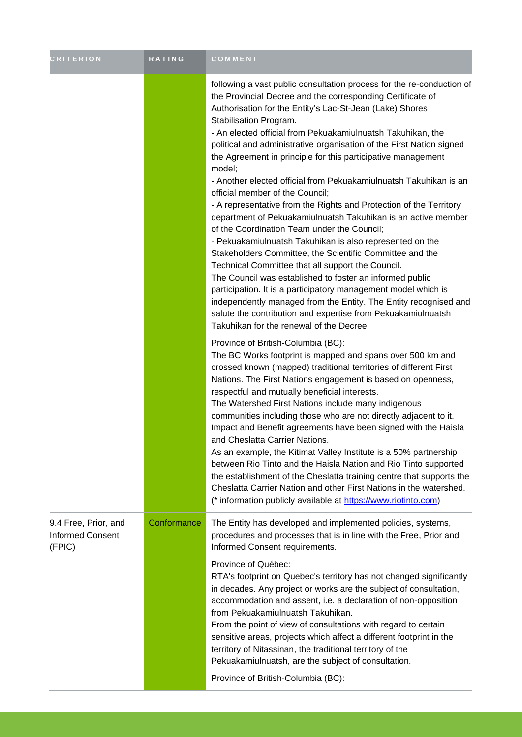| <b>CRITERION</b>                                          | <b>RATING</b> | COMMENT                                                                                                                                                                                                                                                                                                                                                                                                                                                                                                                                                                                                                                                                                                                                                                                                                                                                                                                                                                                                                                                                                                                                                                                                                             |
|-----------------------------------------------------------|---------------|-------------------------------------------------------------------------------------------------------------------------------------------------------------------------------------------------------------------------------------------------------------------------------------------------------------------------------------------------------------------------------------------------------------------------------------------------------------------------------------------------------------------------------------------------------------------------------------------------------------------------------------------------------------------------------------------------------------------------------------------------------------------------------------------------------------------------------------------------------------------------------------------------------------------------------------------------------------------------------------------------------------------------------------------------------------------------------------------------------------------------------------------------------------------------------------------------------------------------------------|
|                                                           |               | following a vast public consultation process for the re-conduction of<br>the Provincial Decree and the corresponding Certificate of<br>Authorisation for the Entity's Lac-St-Jean (Lake) Shores<br>Stabilisation Program.<br>- An elected official from Pekuakamiulnuatsh Takuhikan, the<br>political and administrative organisation of the First Nation signed<br>the Agreement in principle for this participative management<br>model;<br>- Another elected official from Pekuakamiulnuatsh Takuhikan is an<br>official member of the Council;<br>- A representative from the Rights and Protection of the Territory<br>department of Pekuakamiulnuatsh Takuhikan is an active member<br>of the Coordination Team under the Council;<br>- Pekuakamiulnuatsh Takuhikan is also represented on the<br>Stakeholders Committee, the Scientific Committee and the<br>Technical Committee that all support the Council.<br>The Council was established to foster an informed public<br>participation. It is a participatory management model which is<br>independently managed from the Entity. The Entity recognised and<br>salute the contribution and expertise from Pekuakamiulnuatsh<br>Takuhikan for the renewal of the Decree. |
|                                                           |               | Province of British-Columbia (BC):<br>The BC Works footprint is mapped and spans over 500 km and<br>crossed known (mapped) traditional territories of different First<br>Nations. The First Nations engagement is based on openness,<br>respectful and mutually beneficial interests.<br>The Watershed First Nations include many indigenous<br>communities including those who are not directly adjacent to it.<br>Impact and Benefit agreements have been signed with the Haisla<br>and Cheslatta Carrier Nations.<br>As an example, the Kitimat Valley Institute is a 50% partnership<br>between Rio Tinto and the Haisla Nation and Rio Tinto supported<br>the establishment of the Cheslatta training centre that supports the<br>Cheslatta Carrier Nation and other First Nations in the watershed.<br>(* information publicly available at https://www.riotinto.com)                                                                                                                                                                                                                                                                                                                                                         |
| 9.4 Free, Prior, and<br><b>Informed Consent</b><br>(FPIC) | Conformance   | The Entity has developed and implemented policies, systems,<br>procedures and processes that is in line with the Free, Prior and<br>Informed Consent requirements.<br>Province of Québec:<br>RTA's footprint on Quebec's territory has not changed significantly<br>in decades. Any project or works are the subject of consultation,<br>accommodation and assent, i.e. a declaration of non-opposition<br>from Pekuakamiulnuatsh Takuhikan.<br>From the point of view of consultations with regard to certain<br>sensitive areas, projects which affect a different footprint in the<br>territory of Nitassinan, the traditional territory of the<br>Pekuakamiulnuatsh, are the subject of consultation.<br>Province of British-Columbia (BC):                                                                                                                                                                                                                                                                                                                                                                                                                                                                                     |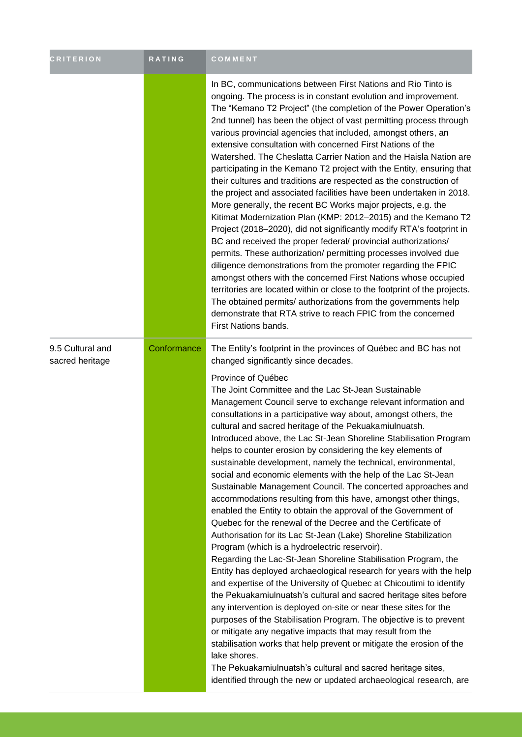| <b>CRITERION</b>                    | RATING      | COMMENT                                                                                                                                                                                                                                                                                                                                                                                                                                                                                                                                                                                                                                                                                                                                                                                                                                                                                                                                                                                                                                                                                                                                                                                                                                                                                                                                                                                                                                                                                                                                                                                                                                                                                                                                                                    |
|-------------------------------------|-------------|----------------------------------------------------------------------------------------------------------------------------------------------------------------------------------------------------------------------------------------------------------------------------------------------------------------------------------------------------------------------------------------------------------------------------------------------------------------------------------------------------------------------------------------------------------------------------------------------------------------------------------------------------------------------------------------------------------------------------------------------------------------------------------------------------------------------------------------------------------------------------------------------------------------------------------------------------------------------------------------------------------------------------------------------------------------------------------------------------------------------------------------------------------------------------------------------------------------------------------------------------------------------------------------------------------------------------------------------------------------------------------------------------------------------------------------------------------------------------------------------------------------------------------------------------------------------------------------------------------------------------------------------------------------------------------------------------------------------------------------------------------------------------|
|                                     |             | In BC, communications between First Nations and Rio Tinto is<br>ongoing. The process is in constant evolution and improvement.<br>The "Kemano T2 Project" (the completion of the Power Operation's<br>2nd tunnel) has been the object of vast permitting process through<br>various provincial agencies that included, amongst others, an<br>extensive consultation with concerned First Nations of the<br>Watershed. The Cheslatta Carrier Nation and the Haisla Nation are<br>participating in the Kemano T2 project with the Entity, ensuring that<br>their cultures and traditions are respected as the construction of<br>the project and associated facilities have been undertaken in 2018.<br>More generally, the recent BC Works major projects, e.g. the<br>Kitimat Modernization Plan (KMP: 2012-2015) and the Kemano T2<br>Project (2018–2020), did not significantly modify RTA's footprint in<br>BC and received the proper federal/ provincial authorizations/<br>permits. These authorization/ permitting processes involved due<br>diligence demonstrations from the promoter regarding the FPIC<br>amongst others with the concerned First Nations whose occupied<br>territories are located within or close to the footprint of the projects.<br>The obtained permits/ authorizations from the governments help<br>demonstrate that RTA strive to reach FPIC from the concerned<br>First Nations bands.                                                                                                                                                                                                                                                                                                                                                 |
| 9.5 Cultural and<br>sacred heritage | Conformance | The Entity's footprint in the provinces of Québec and BC has not<br>changed significantly since decades.<br>Province of Québec<br>The Joint Committee and the Lac St-Jean Sustainable<br>Management Council serve to exchange relevant information and<br>consultations in a participative way about, amongst others, the<br>cultural and sacred heritage of the Pekuakamiulnuatsh.<br>Introduced above, the Lac St-Jean Shoreline Stabilisation Program<br>helps to counter erosion by considering the key elements of<br>sustainable development, namely the technical, environmental,<br>social and economic elements with the help of the Lac St-Jean<br>Sustainable Management Council. The concerted approaches and<br>accommodations resulting from this have, amongst other things,<br>enabled the Entity to obtain the approval of the Government of<br>Quebec for the renewal of the Decree and the Certificate of<br>Authorisation for its Lac St-Jean (Lake) Shoreline Stabilization<br>Program (which is a hydroelectric reservoir).<br>Regarding the Lac-St-Jean Shoreline Stabilisation Program, the<br>Entity has deployed archaeological research for years with the help<br>and expertise of the University of Quebec at Chicoutimi to identify<br>the Pekuakamiulnuatsh's cultural and sacred heritage sites before<br>any intervention is deployed on-site or near these sites for the<br>purposes of the Stabilisation Program. The objective is to prevent<br>or mitigate any negative impacts that may result from the<br>stabilisation works that help prevent or mitigate the erosion of the<br>lake shores.<br>The Pekuakamiulnuatsh's cultural and sacred heritage sites,<br>identified through the new or updated archaeological research, are |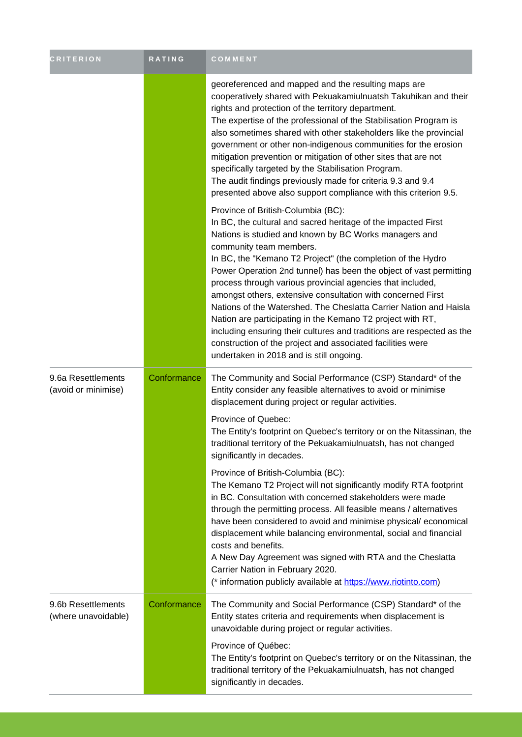| <b>CRITERION</b>                          | RATING      | COMMENT                                                                                                                                                                                                                                                                                                                                                                                                                                                                                                                                                                                                                                                                                                                                                                         |
|-------------------------------------------|-------------|---------------------------------------------------------------------------------------------------------------------------------------------------------------------------------------------------------------------------------------------------------------------------------------------------------------------------------------------------------------------------------------------------------------------------------------------------------------------------------------------------------------------------------------------------------------------------------------------------------------------------------------------------------------------------------------------------------------------------------------------------------------------------------|
|                                           |             | georeferenced and mapped and the resulting maps are<br>cooperatively shared with Pekuakamiulnuatsh Takuhikan and their<br>rights and protection of the territory department.<br>The expertise of the professional of the Stabilisation Program is<br>also sometimes shared with other stakeholders like the provincial<br>government or other non-indigenous communities for the erosion<br>mitigation prevention or mitigation of other sites that are not<br>specifically targeted by the Stabilisation Program.<br>The audit findings previously made for criteria 9.3 and 9.4<br>presented above also support compliance with this criterion 9.5.                                                                                                                           |
|                                           |             | Province of British-Columbia (BC):<br>In BC, the cultural and sacred heritage of the impacted First<br>Nations is studied and known by BC Works managers and<br>community team members.<br>In BC, the "Kemano T2 Project" (the completion of the Hydro<br>Power Operation 2nd tunnel) has been the object of vast permitting<br>process through various provincial agencies that included,<br>amongst others, extensive consultation with concerned First<br>Nations of the Watershed. The Cheslatta Carrier Nation and Haisla<br>Nation are participating in the Kemano T2 project with RT,<br>including ensuring their cultures and traditions are respected as the<br>construction of the project and associated facilities were<br>undertaken in 2018 and is still ongoing. |
| 9.6a Resettlements<br>(avoid or minimise) | Conformance | The Community and Social Performance (CSP) Standard* of the<br>Entity consider any feasible alternatives to avoid or minimise<br>displacement during project or regular activities.                                                                                                                                                                                                                                                                                                                                                                                                                                                                                                                                                                                             |
|                                           |             | Province of Quebec:<br>The Entity's footprint on Quebec's territory or on the Nitassinan, the<br>traditional territory of the Pekuakamiulnuatsh, has not changed<br>significantly in decades.                                                                                                                                                                                                                                                                                                                                                                                                                                                                                                                                                                                   |
|                                           |             | Province of British-Columbia (BC):<br>The Kemano T2 Project will not significantly modify RTA footprint<br>in BC. Consultation with concerned stakeholders were made<br>through the permitting process. All feasible means / alternatives<br>have been considered to avoid and minimise physical/economical<br>displacement while balancing environmental, social and financial<br>costs and benefits.<br>A New Day Agreement was signed with RTA and the Cheslatta<br>Carrier Nation in February 2020.<br>(* information publicly available at https://www.riotinto.com)                                                                                                                                                                                                       |
| 9.6b Resettlements<br>(where unavoidable) | Conformance | The Community and Social Performance (CSP) Standard* of the<br>Entity states criteria and requirements when displacement is<br>unavoidable during project or regular activities.<br>Province of Québec:<br>The Entity's footprint on Quebec's territory or on the Nitassinan, the<br>traditional territory of the Pekuakamiulnuatsh, has not changed<br>significantly in decades.                                                                                                                                                                                                                                                                                                                                                                                               |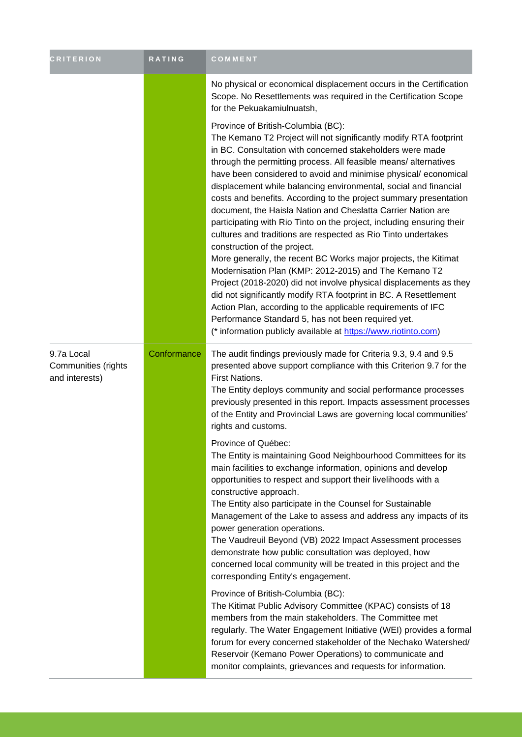| <b>CRITERION</b>                                    | RATING      | COMMENT                                                                                                                                                                                                                                                                                                                                                                                                                                                                                                                                                                                                                                                                                                                                                                                                                                                                                                                                                                                                                                                                                                                                                    |
|-----------------------------------------------------|-------------|------------------------------------------------------------------------------------------------------------------------------------------------------------------------------------------------------------------------------------------------------------------------------------------------------------------------------------------------------------------------------------------------------------------------------------------------------------------------------------------------------------------------------------------------------------------------------------------------------------------------------------------------------------------------------------------------------------------------------------------------------------------------------------------------------------------------------------------------------------------------------------------------------------------------------------------------------------------------------------------------------------------------------------------------------------------------------------------------------------------------------------------------------------|
|                                                     |             | No physical or economical displacement occurs in the Certification<br>Scope. No Resettlements was required in the Certification Scope<br>for the Pekuakamiulnuatsh,                                                                                                                                                                                                                                                                                                                                                                                                                                                                                                                                                                                                                                                                                                                                                                                                                                                                                                                                                                                        |
|                                                     |             | Province of British-Columbia (BC):<br>The Kemano T2 Project will not significantly modify RTA footprint<br>in BC. Consultation with concerned stakeholders were made<br>through the permitting process. All feasible means/alternatives<br>have been considered to avoid and minimise physical/economical<br>displacement while balancing environmental, social and financial<br>costs and benefits. According to the project summary presentation<br>document, the Haisla Nation and Cheslatta Carrier Nation are<br>participating with Rio Tinto on the project, including ensuring their<br>cultures and traditions are respected as Rio Tinto undertakes<br>construction of the project.<br>More generally, the recent BC Works major projects, the Kitimat<br>Modernisation Plan (KMP: 2012-2015) and The Kemano T2<br>Project (2018-2020) did not involve physical displacements as they<br>did not significantly modify RTA footprint in BC. A Resettlement<br>Action Plan, according to the applicable requirements of IFC<br>Performance Standard 5, has not been required yet.<br>(* information publicly available at https://www.riotinto.com) |
| 9.7a Local<br>Communities (rights<br>and interests) | Conformance | The audit findings previously made for Criteria 9.3, 9.4 and 9.5<br>presented above support compliance with this Criterion 9.7 for the<br>First Nations.<br>The Entity deploys community and social performance processes<br>previously presented in this report. Impacts assessment processes<br>of the Entity and Provincial Laws are governing local communities'<br>rights and customs.                                                                                                                                                                                                                                                                                                                                                                                                                                                                                                                                                                                                                                                                                                                                                                |
|                                                     |             | Province of Québec:<br>The Entity is maintaining Good Neighbourhood Committees for its<br>main facilities to exchange information, opinions and develop<br>opportunities to respect and support their livelihoods with a<br>constructive approach.<br>The Entity also participate in the Counsel for Sustainable<br>Management of the Lake to assess and address any impacts of its<br>power generation operations.<br>The Vaudreuil Beyond (VB) 2022 Impact Assessment processes<br>demonstrate how public consultation was deployed, how<br>concerned local community will be treated in this project and the<br>corresponding Entity's engagement.                                                                                                                                                                                                                                                                                                                                                                                                                                                                                                      |
|                                                     |             | Province of British-Columbia (BC):<br>The Kitimat Public Advisory Committee (KPAC) consists of 18<br>members from the main stakeholders. The Committee met<br>regularly. The Water Engagement Initiative (WEI) provides a formal<br>forum for every concerned stakeholder of the Nechako Watershed/<br>Reservoir (Kemano Power Operations) to communicate and<br>monitor complaints, grievances and requests for information.                                                                                                                                                                                                                                                                                                                                                                                                                                                                                                                                                                                                                                                                                                                              |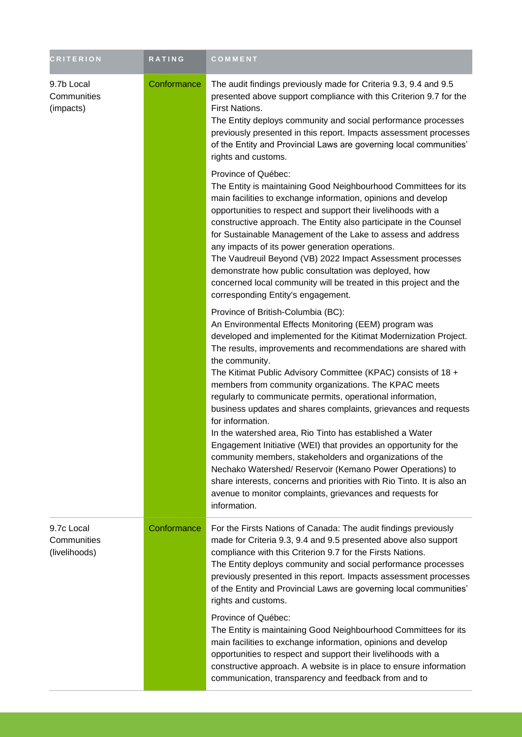| <b>CRITERION</b>                           | <b>RATING</b> | COMMENT                                                                                                                                                                                                                                                                                                                                                                                                                                                                                                                                                                                                                                                                                                                                                                                                                                                                                                                                          |
|--------------------------------------------|---------------|--------------------------------------------------------------------------------------------------------------------------------------------------------------------------------------------------------------------------------------------------------------------------------------------------------------------------------------------------------------------------------------------------------------------------------------------------------------------------------------------------------------------------------------------------------------------------------------------------------------------------------------------------------------------------------------------------------------------------------------------------------------------------------------------------------------------------------------------------------------------------------------------------------------------------------------------------|
| 9.7b Local<br>Communities<br>(impacts)     | Conformance   | The audit findings previously made for Criteria 9.3, 9.4 and 9.5<br>presented above support compliance with this Criterion 9.7 for the<br>First Nations.<br>The Entity deploys community and social performance processes<br>previously presented in this report. Impacts assessment processes<br>of the Entity and Provincial Laws are governing local communities'<br>rights and customs.                                                                                                                                                                                                                                                                                                                                                                                                                                                                                                                                                      |
|                                            |               | Province of Québec:<br>The Entity is maintaining Good Neighbourhood Committees for its<br>main facilities to exchange information, opinions and develop<br>opportunities to respect and support their livelihoods with a<br>constructive approach. The Entity also participate in the Counsel<br>for Sustainable Management of the Lake to assess and address<br>any impacts of its power generation operations.<br>The Vaudreuil Beyond (VB) 2022 Impact Assessment processes<br>demonstrate how public consultation was deployed, how<br>concerned local community will be treated in this project and the<br>corresponding Entity's engagement.                                                                                                                                                                                                                                                                                               |
|                                            |               | Province of British-Columbia (BC):<br>An Environmental Effects Monitoring (EEM) program was<br>developed and implemented for the Kitimat Modernization Project.<br>The results, improvements and recommendations are shared with<br>the community.<br>The Kitimat Public Advisory Committee (KPAC) consists of 18 +<br>members from community organizations. The KPAC meets<br>regularly to communicate permits, operational information,<br>business updates and shares complaints, grievances and requests<br>for information.<br>In the watershed area, Rio Tinto has established a Water<br>Engagement Initiative (WEI) that provides an opportunity for the<br>community members, stakeholders and organizations of the<br>Nechako Watershed/ Reservoir (Kemano Power Operations) to<br>share interests, concerns and priorities with Rio Tinto. It is also an<br>avenue to monitor complaints, grievances and requests for<br>information. |
| 9.7c Local<br>Communities<br>(livelihoods) | Conformance   | For the Firsts Nations of Canada: The audit findings previously<br>made for Criteria 9.3, 9.4 and 9.5 presented above also support<br>compliance with this Criterion 9.7 for the Firsts Nations.<br>The Entity deploys community and social performance processes<br>previously presented in this report. Impacts assessment processes<br>of the Entity and Provincial Laws are governing local communities'<br>rights and customs.                                                                                                                                                                                                                                                                                                                                                                                                                                                                                                              |
|                                            |               | Province of Québec:<br>The Entity is maintaining Good Neighbourhood Committees for its<br>main facilities to exchange information, opinions and develop<br>opportunities to respect and support their livelihoods with a<br>constructive approach. A website is in place to ensure information<br>communication, transparency and feedback from and to                                                                                                                                                                                                                                                                                                                                                                                                                                                                                                                                                                                           |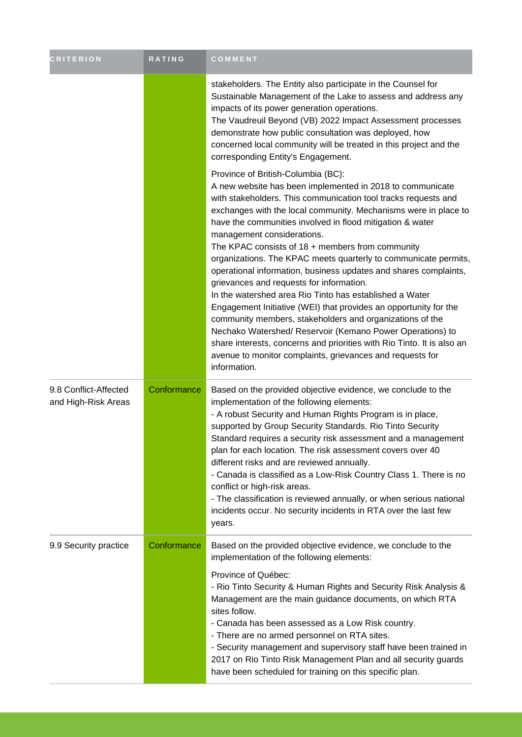| <b>CRITERION</b>                             | RATING      | COMMENT                                                                                                                                                                                                                                                                                                                                                                                                                                                                                                                                                                                                                                                                                                                                                                                                                                                                                                                                                                                 |
|----------------------------------------------|-------------|-----------------------------------------------------------------------------------------------------------------------------------------------------------------------------------------------------------------------------------------------------------------------------------------------------------------------------------------------------------------------------------------------------------------------------------------------------------------------------------------------------------------------------------------------------------------------------------------------------------------------------------------------------------------------------------------------------------------------------------------------------------------------------------------------------------------------------------------------------------------------------------------------------------------------------------------------------------------------------------------|
|                                              |             | stakeholders. The Entity also participate in the Counsel for<br>Sustainable Management of the Lake to assess and address any<br>impacts of its power generation operations.<br>The Vaudreuil Beyond (VB) 2022 Impact Assessment processes<br>demonstrate how public consultation was deployed, how<br>concerned local community will be treated in this project and the<br>corresponding Entity's Engagement.                                                                                                                                                                                                                                                                                                                                                                                                                                                                                                                                                                           |
|                                              |             | Province of British-Columbia (BC):<br>A new website has been implemented in 2018 to communicate<br>with stakeholders. This communication tool tracks requests and<br>exchanges with the local community. Mechanisms were in place to<br>have the communities involved in flood mitigation & water<br>management considerations.<br>The KPAC consists of $18 +$ members from community<br>organizations. The KPAC meets quarterly to communicate permits,<br>operational information, business updates and shares complaints,<br>grievances and requests for information.<br>In the watershed area Rio Tinto has established a Water<br>Engagement Initiative (WEI) that provides an opportunity for the<br>community members, stakeholders and organizations of the<br>Nechako Watershed/ Reservoir (Kemano Power Operations) to<br>share interests, concerns and priorities with Rio Tinto. It is also an<br>avenue to monitor complaints, grievances and requests for<br>information. |
| 9.8 Conflict-Affected<br>and High-Risk Areas | Conformance | Based on the provided objective evidence, we conclude to the<br>implementation of the following elements:<br>- A robust Security and Human Rights Program is in place,<br>supported by Group Security Standards. Rio Tinto Security<br>Standard requires a security risk assessment and a management<br>plan for each location. The risk assessment covers over 40<br>different risks and are reviewed annually.<br>- Canada is classified as a Low-Risk Country Class 1. There is no<br>conflict or high-risk areas.<br>- The classification is reviewed annually, or when serious national<br>incidents occur. No security incidents in RTA over the last few<br>years.                                                                                                                                                                                                                                                                                                               |
| 9.9 Security practice                        | Conformance | Based on the provided objective evidence, we conclude to the<br>implementation of the following elements:<br>Province of Québec:<br>- Rio Tinto Security & Human Rights and Security Risk Analysis &<br>Management are the main guidance documents, on which RTA<br>sites follow.<br>- Canada has been assessed as a Low Risk country.<br>- There are no armed personnel on RTA sites.<br>- Security management and supervisory staff have been trained in<br>2017 on Rio Tinto Risk Management Plan and all security guards<br>have been scheduled for training on this specific plan.                                                                                                                                                                                                                                                                                                                                                                                                 |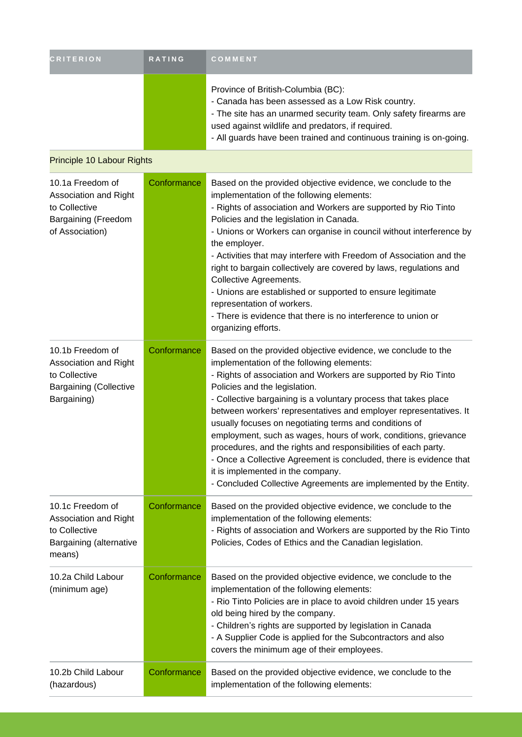| <b>CRITERION</b>                                                                                            | <b>RATING</b> | COMMENT                                                                                                                                                                                                                                                                                                                                                                                                                                                                                                                                                                                                                                                                                                                            |
|-------------------------------------------------------------------------------------------------------------|---------------|------------------------------------------------------------------------------------------------------------------------------------------------------------------------------------------------------------------------------------------------------------------------------------------------------------------------------------------------------------------------------------------------------------------------------------------------------------------------------------------------------------------------------------------------------------------------------------------------------------------------------------------------------------------------------------------------------------------------------------|
|                                                                                                             |               | Province of British-Columbia (BC):<br>- Canada has been assessed as a Low Risk country.<br>- The site has an unarmed security team. Only safety firearms are<br>used against wildlife and predators, if required.<br>- All guards have been trained and continuous training is on-going.                                                                                                                                                                                                                                                                                                                                                                                                                                           |
| Principle 10 Labour Rights                                                                                  |               |                                                                                                                                                                                                                                                                                                                                                                                                                                                                                                                                                                                                                                                                                                                                    |
| 10.1a Freedom of<br>Association and Right<br>to Collective<br><b>Bargaining (Freedom</b><br>of Association) | Conformance   | Based on the provided objective evidence, we conclude to the<br>implementation of the following elements:<br>- Rights of association and Workers are supported by Rio Tinto<br>Policies and the legislation in Canada.<br>- Unions or Workers can organise in council without interference by<br>the employer.<br>- Activities that may interfere with Freedom of Association and the<br>right to bargain collectively are covered by laws, regulations and<br>Collective Agreements.<br>- Unions are established or supported to ensure legitimate<br>representation of workers.<br>- There is evidence that there is no interference to union or<br>organizing efforts.                                                          |
| 10.1b Freedom of<br>Association and Right<br>to Collective<br><b>Bargaining (Collective</b><br>Bargaining)  | Conformance   | Based on the provided objective evidence, we conclude to the<br>implementation of the following elements:<br>- Rights of association and Workers are supported by Rio Tinto<br>Policies and the legislation.<br>- Collective bargaining is a voluntary process that takes place<br>between workers' representatives and employer representatives. It<br>usually focuses on negotiating terms and conditions of<br>employment, such as wages, hours of work, conditions, grievance<br>procedures, and the rights and responsibilities of each party.<br>- Once a Collective Agreement is concluded, there is evidence that<br>it is implemented in the company.<br>- Concluded Collective Agreements are implemented by the Entity. |
| 10.1c Freedom of<br>Association and Right<br>to Collective<br>Bargaining (alternative<br>means)             | Conformance   | Based on the provided objective evidence, we conclude to the<br>implementation of the following elements:<br>- Rights of association and Workers are supported by the Rio Tinto<br>Policies, Codes of Ethics and the Canadian legislation.                                                                                                                                                                                                                                                                                                                                                                                                                                                                                         |
| 10.2a Child Labour<br>(minimum age)                                                                         | Conformance   | Based on the provided objective evidence, we conclude to the<br>implementation of the following elements:<br>- Rio Tinto Policies are in place to avoid children under 15 years<br>old being hired by the company.<br>- Children's rights are supported by legislation in Canada<br>- A Supplier Code is applied for the Subcontractors and also<br>covers the minimum age of their employees.                                                                                                                                                                                                                                                                                                                                     |
| 10.2b Child Labour<br>(hazardous)                                                                           | Conformance   | Based on the provided objective evidence, we conclude to the<br>implementation of the following elements:                                                                                                                                                                                                                                                                                                                                                                                                                                                                                                                                                                                                                          |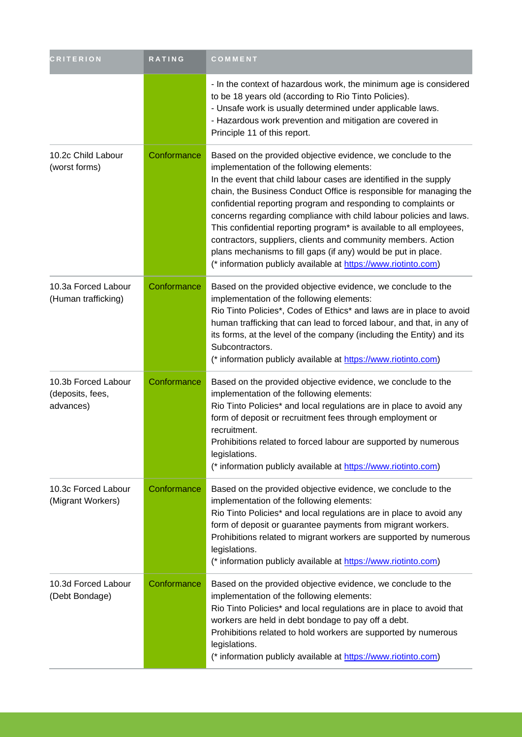| <b>CRITERION</b>                                     | RATING      | COMMENT                                                                                                                                                                                                                                                                                                                                                                                                                                                                                                                                                                                                                                                                 |
|------------------------------------------------------|-------------|-------------------------------------------------------------------------------------------------------------------------------------------------------------------------------------------------------------------------------------------------------------------------------------------------------------------------------------------------------------------------------------------------------------------------------------------------------------------------------------------------------------------------------------------------------------------------------------------------------------------------------------------------------------------------|
|                                                      |             | - In the context of hazardous work, the minimum age is considered<br>to be 18 years old (according to Rio Tinto Policies).<br>- Unsafe work is usually determined under applicable laws.<br>- Hazardous work prevention and mitigation are covered in<br>Principle 11 of this report.                                                                                                                                                                                                                                                                                                                                                                                   |
| 10.2c Child Labour<br>(worst forms)                  | Conformance | Based on the provided objective evidence, we conclude to the<br>implementation of the following elements:<br>In the event that child labour cases are identified in the supply<br>chain, the Business Conduct Office is responsible for managing the<br>confidential reporting program and responding to complaints or<br>concerns regarding compliance with child labour policies and laws.<br>This confidential reporting program* is available to all employees,<br>contractors, suppliers, clients and community members. Action<br>plans mechanisms to fill gaps (if any) would be put in place.<br>(* information publicly available at https://www.riotinto.com) |
| 10.3a Forced Labour<br>(Human trafficking)           | Conformance | Based on the provided objective evidence, we conclude to the<br>implementation of the following elements:<br>Rio Tinto Policies*, Codes of Ethics* and laws are in place to avoid<br>human trafficking that can lead to forced labour, and that, in any of<br>its forms, at the level of the company (including the Entity) and its<br>Subcontractors.<br>(* information publicly available at https://www.riotinto.com)                                                                                                                                                                                                                                                |
| 10.3b Forced Labour<br>(deposits, fees,<br>advances) | Conformance | Based on the provided objective evidence, we conclude to the<br>implementation of the following elements:<br>Rio Tinto Policies* and local regulations are in place to avoid any<br>form of deposit or recruitment fees through employment or<br>recruitment.<br>Prohibitions related to forced labour are supported by numerous<br>legislations.<br>(* information publicly available at https://www.riotinto.com)                                                                                                                                                                                                                                                     |
| 10.3c Forced Labour<br>(Migrant Workers)             | Conformance | Based on the provided objective evidence, we conclude to the<br>implementation of the following elements:<br>Rio Tinto Policies* and local regulations are in place to avoid any<br>form of deposit or guarantee payments from migrant workers.<br>Prohibitions related to migrant workers are supported by numerous<br>legislations.<br>(* information publicly available at https://www.riotinto.com)                                                                                                                                                                                                                                                                 |
| 10.3d Forced Labour<br>(Debt Bondage)                | Conformance | Based on the provided objective evidence, we conclude to the<br>implementation of the following elements:<br>Rio Tinto Policies* and local regulations are in place to avoid that<br>workers are held in debt bondage to pay off a debt.<br>Prohibitions related to hold workers are supported by numerous<br>legislations.<br>(* information publicly available at https://www.riotinto.com)                                                                                                                                                                                                                                                                           |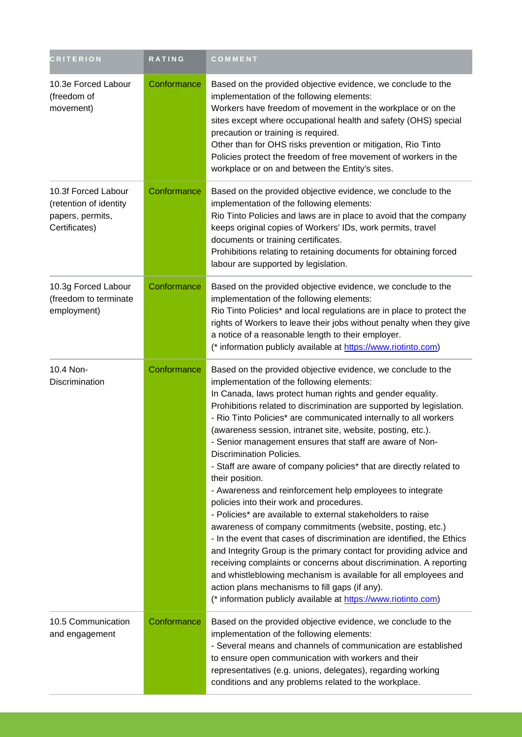| <b>CRITERION</b>                                                                   | <b>RATING</b> | COMMENT                                                                                                                                                                                                                                                                                                                                                                                                                                                                                                                                                                                                                                                                                                                                                                                                                                                                                                                                                                                                                                                                                                                                                                                                                       |
|------------------------------------------------------------------------------------|---------------|-------------------------------------------------------------------------------------------------------------------------------------------------------------------------------------------------------------------------------------------------------------------------------------------------------------------------------------------------------------------------------------------------------------------------------------------------------------------------------------------------------------------------------------------------------------------------------------------------------------------------------------------------------------------------------------------------------------------------------------------------------------------------------------------------------------------------------------------------------------------------------------------------------------------------------------------------------------------------------------------------------------------------------------------------------------------------------------------------------------------------------------------------------------------------------------------------------------------------------|
| 10.3e Forced Labour<br>(freedom of<br>movement)                                    | Conformance   | Based on the provided objective evidence, we conclude to the<br>implementation of the following elements:<br>Workers have freedom of movement in the workplace or on the<br>sites except where occupational health and safety (OHS) special<br>precaution or training is required.<br>Other than for OHS risks prevention or mitigation, Rio Tinto<br>Policies protect the freedom of free movement of workers in the<br>workplace or on and between the Entity's sites.                                                                                                                                                                                                                                                                                                                                                                                                                                                                                                                                                                                                                                                                                                                                                      |
| 10.3f Forced Labour<br>(retention of identity<br>papers, permits,<br>Certificates) | Conformance   | Based on the provided objective evidence, we conclude to the<br>implementation of the following elements:<br>Rio Tinto Policies and laws are in place to avoid that the company<br>keeps original copies of Workers' IDs, work permits, travel<br>documents or training certificates.<br>Prohibitions relating to retaining documents for obtaining forced<br>labour are supported by legislation.                                                                                                                                                                                                                                                                                                                                                                                                                                                                                                                                                                                                                                                                                                                                                                                                                            |
| 10.3g Forced Labour<br>(freedom to terminate<br>employment)                        | Conformance   | Based on the provided objective evidence, we conclude to the<br>implementation of the following elements:<br>Rio Tinto Policies* and local regulations are in place to protect the<br>rights of Workers to leave their jobs without penalty when they give<br>a notice of a reasonable length to their employer.<br>(* information publicly available at https://www.riotinto.com)                                                                                                                                                                                                                                                                                                                                                                                                                                                                                                                                                                                                                                                                                                                                                                                                                                            |
| 10.4 Non-<br>Discrimination                                                        | Conformance   | Based on the provided objective evidence, we conclude to the<br>implementation of the following elements:<br>In Canada, laws protect human rights and gender equality.<br>Prohibitions related to discrimination are supported by legislation.<br>- Rio Tinto Policies* are communicated internally to all workers<br>(awareness session, intranet site, website, posting, etc.).<br>- Senior management ensures that staff are aware of Non-<br><b>Discrimination Policies.</b><br>- Staff are aware of company policies* that are directly related to<br>their position.<br>- Awareness and reinforcement help employees to integrate<br>policies into their work and procedures.<br>- Policies* are available to external stakeholders to raise<br>awareness of company commitments (website, posting, etc.)<br>- In the event that cases of discrimination are identified, the Ethics<br>and Integrity Group is the primary contact for providing advice and<br>receiving complaints or concerns about discrimination. A reporting<br>and whistleblowing mechanism is available for all employees and<br>action plans mechanisms to fill gaps (if any).<br>(* information publicly available at https://www.riotinto.com) |
| 10.5 Communication<br>and engagement                                               | Conformance   | Based on the provided objective evidence, we conclude to the<br>implementation of the following elements:<br>- Several means and channels of communication are established<br>to ensure open communication with workers and their<br>representatives (e.g. unions, delegates), regarding working<br>conditions and any problems related to the workplace.                                                                                                                                                                                                                                                                                                                                                                                                                                                                                                                                                                                                                                                                                                                                                                                                                                                                     |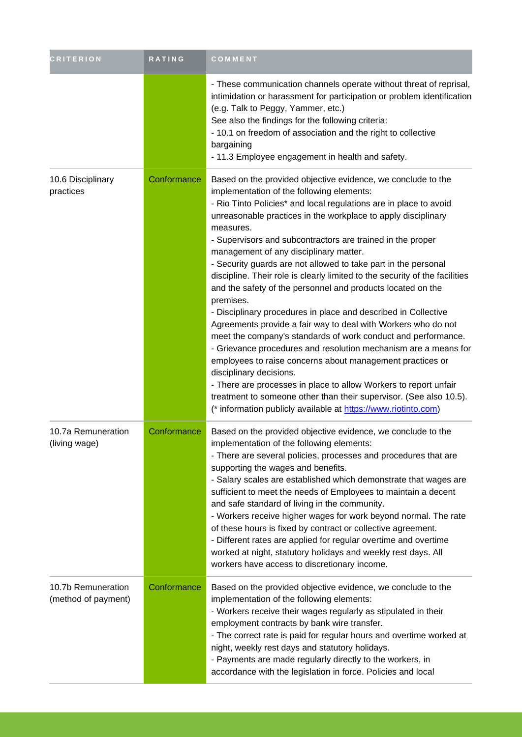| <b>CRITERION</b>                          | RATING      | <b>COMMENT</b>                                                                                                                                                                                                                                                                                                                                                                                                                                                                                                                                                                                                                                                                                                                                                                                                                                                                                                                                                                                                                                                                                                                                                               |
|-------------------------------------------|-------------|------------------------------------------------------------------------------------------------------------------------------------------------------------------------------------------------------------------------------------------------------------------------------------------------------------------------------------------------------------------------------------------------------------------------------------------------------------------------------------------------------------------------------------------------------------------------------------------------------------------------------------------------------------------------------------------------------------------------------------------------------------------------------------------------------------------------------------------------------------------------------------------------------------------------------------------------------------------------------------------------------------------------------------------------------------------------------------------------------------------------------------------------------------------------------|
|                                           |             | - These communication channels operate without threat of reprisal,<br>intimidation or harassment for participation or problem identification<br>(e.g. Talk to Peggy, Yammer, etc.)<br>See also the findings for the following criteria:<br>- 10.1 on freedom of association and the right to collective<br>bargaining<br>- 11.3 Employee engagement in health and safety.                                                                                                                                                                                                                                                                                                                                                                                                                                                                                                                                                                                                                                                                                                                                                                                                    |
| 10.6 Disciplinary<br>practices            | Conformance | Based on the provided objective evidence, we conclude to the<br>implementation of the following elements:<br>- Rio Tinto Policies* and local regulations are in place to avoid<br>unreasonable practices in the workplace to apply disciplinary<br>measures.<br>- Supervisors and subcontractors are trained in the proper<br>management of any disciplinary matter.<br>- Security guards are not allowed to take part in the personal<br>discipline. Their role is clearly limited to the security of the facilities<br>and the safety of the personnel and products located on the<br>premises.<br>- Disciplinary procedures in place and described in Collective<br>Agreements provide a fair way to deal with Workers who do not<br>meet the company's standards of work conduct and performance.<br>- Grievance procedures and resolution mechanism are a means for<br>employees to raise concerns about management practices or<br>disciplinary decisions.<br>- There are processes in place to allow Workers to report unfair<br>treatment to someone other than their supervisor. (See also 10.5).<br>(* information publicly available at https://www.riotinto.com) |
| 10.7a Remuneration<br>(living wage)       | Conformance | Based on the provided objective evidence, we conclude to the<br>implementation of the following elements:<br>- There are several policies, processes and procedures that are<br>supporting the wages and benefits.<br>- Salary scales are established which demonstrate that wages are<br>sufficient to meet the needs of Employees to maintain a decent<br>and safe standard of living in the community.<br>- Workers receive higher wages for work beyond normal. The rate<br>of these hours is fixed by contract or collective agreement.<br>- Different rates are applied for regular overtime and overtime<br>worked at night, statutory holidays and weekly rest days. All<br>workers have access to discretionary income.                                                                                                                                                                                                                                                                                                                                                                                                                                             |
| 10.7b Remuneration<br>(method of payment) | Conformance | Based on the provided objective evidence, we conclude to the<br>implementation of the following elements:<br>- Workers receive their wages regularly as stipulated in their<br>employment contracts by bank wire transfer.<br>- The correct rate is paid for regular hours and overtime worked at<br>night, weekly rest days and statutory holidays.<br>- Payments are made regularly directly to the workers, in<br>accordance with the legislation in force. Policies and local                                                                                                                                                                                                                                                                                                                                                                                                                                                                                                                                                                                                                                                                                            |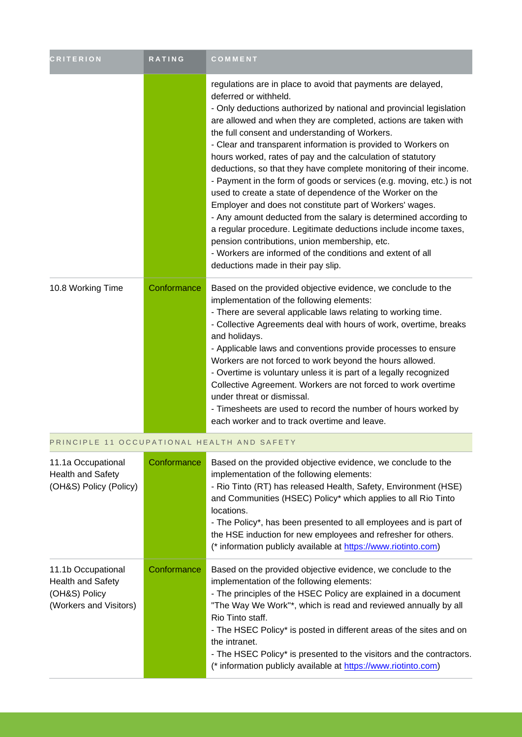| <b>CRITERION</b>                            | <b>RATING</b> | COMMENT                                                                                                                                                                                                                                                                                                                                                                                                                                                                                                                                                                                                                                                                                                                                                                                                                                                                                                                                                                                |
|---------------------------------------------|---------------|----------------------------------------------------------------------------------------------------------------------------------------------------------------------------------------------------------------------------------------------------------------------------------------------------------------------------------------------------------------------------------------------------------------------------------------------------------------------------------------------------------------------------------------------------------------------------------------------------------------------------------------------------------------------------------------------------------------------------------------------------------------------------------------------------------------------------------------------------------------------------------------------------------------------------------------------------------------------------------------|
|                                             |               | regulations are in place to avoid that payments are delayed,<br>deferred or withheld.<br>- Only deductions authorized by national and provincial legislation<br>are allowed and when they are completed, actions are taken with<br>the full consent and understanding of Workers.<br>- Clear and transparent information is provided to Workers on<br>hours worked, rates of pay and the calculation of statutory<br>deductions, so that they have complete monitoring of their income.<br>- Payment in the form of goods or services (e.g. moving, etc.) is not<br>used to create a state of dependence of the Worker on the<br>Employer and does not constitute part of Workers' wages.<br>- Any amount deducted from the salary is determined according to<br>a regular procedure. Legitimate deductions include income taxes,<br>pension contributions, union membership, etc.<br>- Workers are informed of the conditions and extent of all<br>deductions made in their pay slip. |
| 10.8 Working Time                           | Conformance   | Based on the provided objective evidence, we conclude to the<br>implementation of the following elements:<br>- There are several applicable laws relating to working time.<br>- Collective Agreements deal with hours of work, overtime, breaks<br>and holidays.<br>- Applicable laws and conventions provide processes to ensure<br>Workers are not forced to work beyond the hours allowed.<br>- Overtime is voluntary unless it is part of a legally recognized<br>Collective Agreement. Workers are not forced to work overtime<br>under threat or dismissal.<br>- Timesheets are used to record the number of hours worked by<br>each worker and to track overtime and leave.                                                                                                                                                                                                                                                                                                     |
| PRINCIPLE 11 OCCUPATIONAL HEALTH AND SAFETY |               |                                                                                                                                                                                                                                                                                                                                                                                                                                                                                                                                                                                                                                                                                                                                                                                                                                                                                                                                                                                        |

| 11.1a Occupational<br><b>Health and Safety</b><br>(OH&S) Policy (Policy)                  | Conformance | Based on the provided objective evidence, we conclude to the<br>implementation of the following elements:<br>- Rio Tinto (RT) has released Health, Safety, Environment (HSE)<br>and Communities (HSEC) Policy* which applies to all Rio Tinto<br>locations.<br>- The Policy*, has been presented to all employees and is part of<br>the HSE induction for new employees and refresher for others.<br>(* information publicly available at https://www.riotinto.com)                                  |
|-------------------------------------------------------------------------------------------|-------------|------------------------------------------------------------------------------------------------------------------------------------------------------------------------------------------------------------------------------------------------------------------------------------------------------------------------------------------------------------------------------------------------------------------------------------------------------------------------------------------------------|
| 11.1b Occupational<br><b>Health and Safety</b><br>(OH&S) Policy<br>(Workers and Visitors) | Conformance | Based on the provided objective evidence, we conclude to the<br>implementation of the following elements:<br>- The principles of the HSEC Policy are explained in a document<br>"The Way We Work"*, which is read and reviewed annually by all<br>Rio Tinto staff.<br>- The HSEC Policy* is posted in different areas of the sites and on<br>the intranet.<br>- The HSEC Policy* is presented to the visitors and the contractors.<br>(* information publicly available at https://www.riotinto.com) |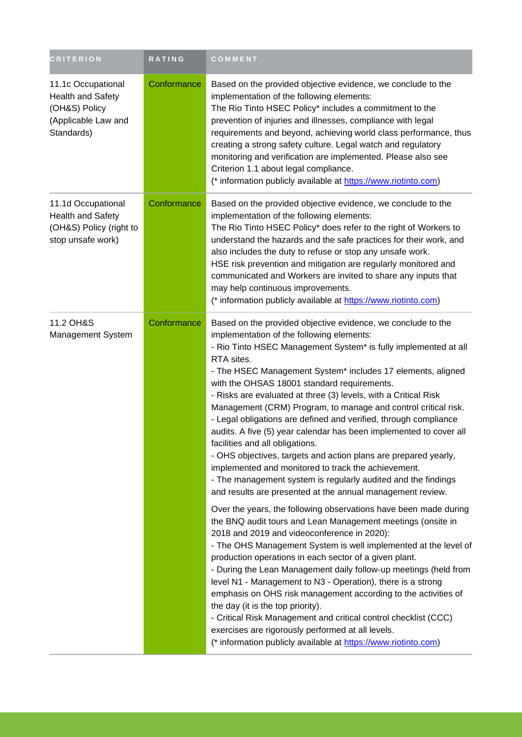| <b>CRITERION</b>                                                                                     | <b>RATING</b> | COMMENT                                                                                                                                                                                                                                                                                                                                                                                                                                                                                                                                                                                                                                                                                                                                                                                                                                                                                                                                                                                                                                                                                                                                                                                                                                                                                                                                                                                                                                                                                                                                                                                                                                |
|------------------------------------------------------------------------------------------------------|---------------|----------------------------------------------------------------------------------------------------------------------------------------------------------------------------------------------------------------------------------------------------------------------------------------------------------------------------------------------------------------------------------------------------------------------------------------------------------------------------------------------------------------------------------------------------------------------------------------------------------------------------------------------------------------------------------------------------------------------------------------------------------------------------------------------------------------------------------------------------------------------------------------------------------------------------------------------------------------------------------------------------------------------------------------------------------------------------------------------------------------------------------------------------------------------------------------------------------------------------------------------------------------------------------------------------------------------------------------------------------------------------------------------------------------------------------------------------------------------------------------------------------------------------------------------------------------------------------------------------------------------------------------|
| 11.1c Occupational<br><b>Health and Safety</b><br>(OH&S) Policy<br>(Applicable Law and<br>Standards) | Conformance   | Based on the provided objective evidence, we conclude to the<br>implementation of the following elements:<br>The Rio Tinto HSEC Policy* includes a commitment to the<br>prevention of injuries and illnesses, compliance with legal<br>requirements and beyond, achieving world class performance, thus<br>creating a strong safety culture. Legal watch and regulatory<br>monitoring and verification are implemented. Please also see<br>Criterion 1.1 about legal compliance.<br>(* information publicly available at https://www.riotinto.com)                                                                                                                                                                                                                                                                                                                                                                                                                                                                                                                                                                                                                                                                                                                                                                                                                                                                                                                                                                                                                                                                                     |
| 11.1d Occupational<br>Health and Safety<br>(OH&S) Policy (right to<br>stop unsafe work)              | Conformance   | Based on the provided objective evidence, we conclude to the<br>implementation of the following elements:<br>The Rio Tinto HSEC Policy* does refer to the right of Workers to<br>understand the hazards and the safe practices for their work, and<br>also includes the duty to refuse or stop any unsafe work.<br>HSE risk prevention and mitigation are regularly monitored and<br>communicated and Workers are invited to share any inputs that<br>may help continuous improvements.<br>(* information publicly available at https://www.riotinto.com)                                                                                                                                                                                                                                                                                                                                                                                                                                                                                                                                                                                                                                                                                                                                                                                                                                                                                                                                                                                                                                                                              |
| 11.2 OH&S<br>Management System                                                                       | Conformance   | Based on the provided objective evidence, we conclude to the<br>implementation of the following elements:<br>- Rio Tinto HSEC Management System* is fully implemented at all<br>RTA sites.<br>- The HSEC Management System* includes 17 elements, aligned<br>with the OHSAS 18001 standard requirements.<br>- Risks are evaluated at three (3) levels, with a Critical Risk<br>Management (CRM) Program, to manage and control critical risk.<br>- Legal obligations are defined and verified, through compliance<br>audits. A five (5) year calendar has been implemented to cover all<br>facilities and all obligations.<br>- OHS objectives, targets and action plans are prepared yearly,<br>implemented and monitored to track the achievement.<br>- The management system is regularly audited and the findings<br>and results are presented at the annual management review.<br>Over the years, the following observations have been made during<br>the BNQ audit tours and Lean Management meetings (onsite in<br>2018 and 2019 and videoconference in 2020):<br>- The OHS Management System is well implemented at the level of<br>production operations in each sector of a given plant.<br>- During the Lean Management daily follow-up meetings (held from<br>level N1 - Management to N3 - Operation), there is a strong<br>emphasis on OHS risk management according to the activities of<br>the day (it is the top priority).<br>- Critical Risk Management and critical control checklist (CCC)<br>exercises are rigorously performed at all levels.<br>(* information publicly available at https://www.riotinto.com) |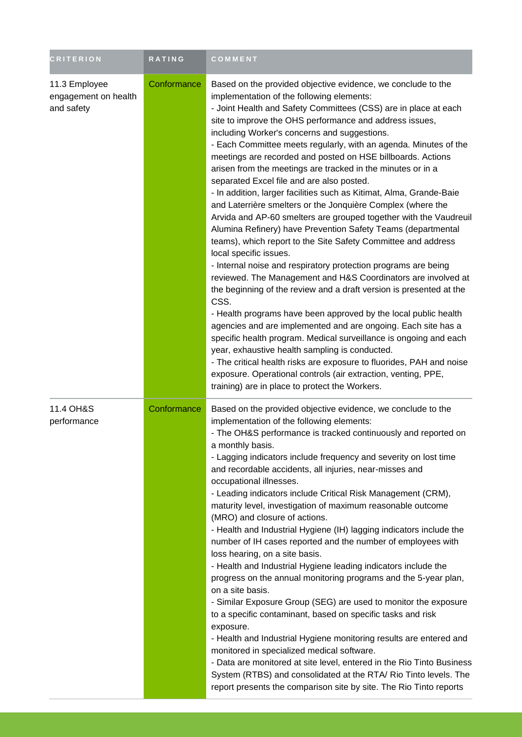| <b>CRITERION</b>                                    | <b>RATING</b> | COMMENT                                                                                                                                                                                                                                                                                                                                                                                                                                                                                                                                                                                                                                                                                                                                                                                                                                                                                                                                                                                                                                                                                                                                                                                                                                                                                                                                                                                                                                                                                                                                                                              |
|-----------------------------------------------------|---------------|--------------------------------------------------------------------------------------------------------------------------------------------------------------------------------------------------------------------------------------------------------------------------------------------------------------------------------------------------------------------------------------------------------------------------------------------------------------------------------------------------------------------------------------------------------------------------------------------------------------------------------------------------------------------------------------------------------------------------------------------------------------------------------------------------------------------------------------------------------------------------------------------------------------------------------------------------------------------------------------------------------------------------------------------------------------------------------------------------------------------------------------------------------------------------------------------------------------------------------------------------------------------------------------------------------------------------------------------------------------------------------------------------------------------------------------------------------------------------------------------------------------------------------------------------------------------------------------|
| 11.3 Employee<br>engagement on health<br>and safety | Conformance   | Based on the provided objective evidence, we conclude to the<br>implementation of the following elements:<br>- Joint Health and Safety Committees (CSS) are in place at each<br>site to improve the OHS performance and address issues,<br>including Worker's concerns and suggestions.<br>- Each Committee meets regularly, with an agenda. Minutes of the<br>meetings are recorded and posted on HSE billboards. Actions<br>arisen from the meetings are tracked in the minutes or in a<br>separated Excel file and are also posted.<br>- In addition, larger facilities such as Kitimat, Alma, Grande-Baie<br>and Laterrière smelters or the Jonquière Complex (where the<br>Arvida and AP-60 smelters are grouped together with the Vaudreuil<br>Alumina Refinery) have Prevention Safety Teams (departmental<br>teams), which report to the Site Safety Committee and address<br>local specific issues.<br>- Internal noise and respiratory protection programs are being<br>reviewed. The Management and H&S Coordinators are involved at<br>the beginning of the review and a draft version is presented at the<br>CSS.<br>- Health programs have been approved by the local public health<br>agencies and are implemented and are ongoing. Each site has a<br>specific health program. Medical surveillance is ongoing and each<br>year, exhaustive health sampling is conducted.<br>- The critical health risks are exposure to fluorides, PAH and noise<br>exposure. Operational controls (air extraction, venting, PPE,<br>training) are in place to protect the Workers. |
| 11.4 OH&S<br>performance                            | Conformance   | Based on the provided objective evidence, we conclude to the<br>implementation of the following elements:<br>- The OH&S performance is tracked continuously and reported on<br>a monthly basis.<br>- Lagging indicators include frequency and severity on lost time<br>and recordable accidents, all injuries, near-misses and<br>occupational illnesses.<br>- Leading indicators include Critical Risk Management (CRM),<br>maturity level, investigation of maximum reasonable outcome<br>(MRO) and closure of actions.<br>- Health and Industrial Hygiene (IH) lagging indicators include the<br>number of IH cases reported and the number of employees with<br>loss hearing, on a site basis.<br>- Health and Industrial Hygiene leading indicators include the<br>progress on the annual monitoring programs and the 5-year plan,<br>on a site basis.<br>- Similar Exposure Group (SEG) are used to monitor the exposure<br>to a specific contaminant, based on specific tasks and risk<br>exposure.<br>- Health and Industrial Hygiene monitoring results are entered and<br>monitored in specialized medical software.<br>- Data are monitored at site level, entered in the Rio Tinto Business<br>System (RTBS) and consolidated at the RTA/ Rio Tinto levels. The<br>report presents the comparison site by site. The Rio Tinto reports                                                                                                                                                                                                                                    |